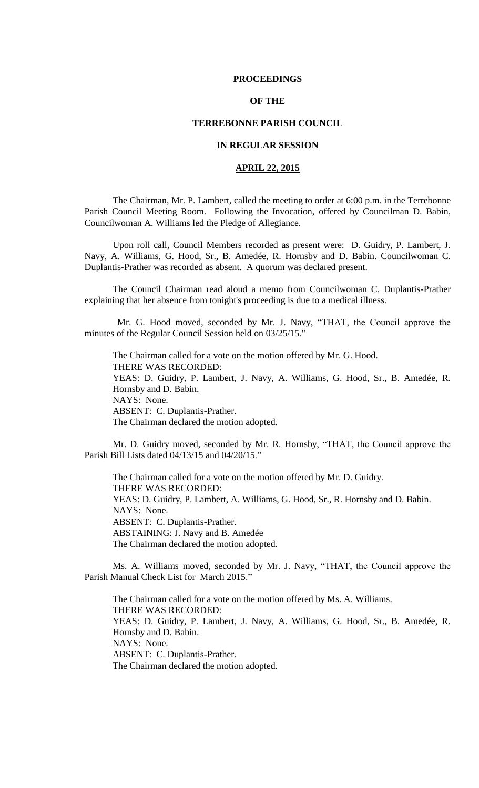### **PROCEEDINGS**

# **OF THE**

## **TERREBONNE PARISH COUNCIL**

## **IN REGULAR SESSION**

# **APRIL 22, 2015**

The Chairman, Mr. P. Lambert, called the meeting to order at 6:00 p.m. in the Terrebonne Parish Council Meeting Room. Following the Invocation, offered by Councilman D. Babin, Councilwoman A. Williams led the Pledge of Allegiance.

Upon roll call, Council Members recorded as present were: D. Guidry, P. Lambert, J. Navy, A. Williams, G. Hood, Sr., B. Amedée, R. Hornsby and D. Babin. Councilwoman C. Duplantis-Prather was recorded as absent. A quorum was declared present.

The Council Chairman read aloud a memo from Councilwoman C. Duplantis-Prather explaining that her absence from tonight's proceeding is due to a medical illness.

 Mr. G. Hood moved, seconded by Mr. J. Navy, "THAT, the Council approve the minutes of the Regular Council Session held on 03/25/15."

The Chairman called for a vote on the motion offered by Mr. G. Hood. THERE WAS RECORDED: YEAS: D. Guidry, P. Lambert, J. Navy, A. Williams, G. Hood, Sr., B. Amedée, R. Hornsby and D. Babin. NAYS: None. ABSENT: C. Duplantis-Prather. The Chairman declared the motion adopted.

Mr. D. Guidry moved, seconded by Mr. R. Hornsby, "THAT, the Council approve the Parish Bill Lists dated 04/13/15 and 04/20/15."

The Chairman called for a vote on the motion offered by Mr. D. Guidry. THERE WAS RECORDED: YEAS: D. Guidry, P. Lambert, A. Williams, G. Hood, Sr., R. Hornsby and D. Babin. NAYS: None. ABSENT: C. Duplantis-Prather. ABSTAINING: J. Navy and B. Amedée The Chairman declared the motion adopted.

Ms. A. Williams moved, seconded by Mr. J. Navy, "THAT, the Council approve the Parish Manual Check List for March 2015."

The Chairman called for a vote on the motion offered by Ms. A. Williams. THERE WAS RECORDED: YEAS: D. Guidry, P. Lambert, J. Navy, A. Williams, G. Hood, Sr., B. Amedée, R. Hornsby and D. Babin. NAYS: None. ABSENT: C. Duplantis-Prather. The Chairman declared the motion adopted.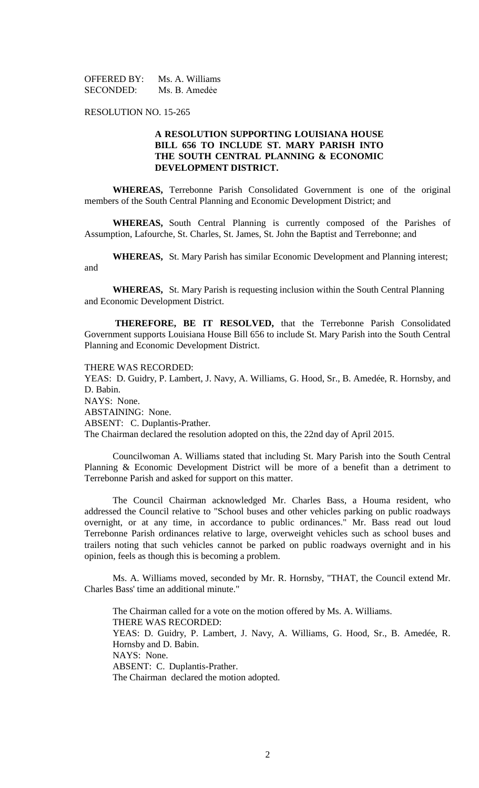OFFERED BY: Ms. A. Williams SECONDED: Ms. B. Amedée

RESOLUTION NO. 15-265

# **A RESOLUTION SUPPORTING LOUISIANA HOUSE BILL 656 TO INCLUDE ST. MARY PARISH INTO THE SOUTH CENTRAL PLANNING & ECONOMIC DEVELOPMENT DISTRICT.**

**WHEREAS,** Terrebonne Parish Consolidated Government is one of the original members of the South Central Planning and Economic Development District; and

**WHEREAS,** South Central Planning is currently composed of the Parishes of Assumption, Lafourche, St. Charles, St. James, St. John the Baptist and Terrebonne; and

**WHEREAS,** St. Mary Parish has similar Economic Development and Planning interest; and

**WHEREAS,** St. Mary Parish is requesting inclusion within the South Central Planning and Economic Development District.

 **THEREFORE, BE IT RESOLVED,** that the Terrebonne Parish Consolidated Government supports Louisiana House Bill 656 to include St. Mary Parish into the South Central Planning and Economic Development District.

THERE WAS RECORDED: YEAS: D. Guidry, P. Lambert, J. Navy, A. Williams, G. Hood, Sr., B. Amedée, R. Hornsby, and D. Babin. NAYS: None. ABSTAINING: None. ABSENT: C. Duplantis-Prather. The Chairman declared the resolution adopted on this, the 22nd day of April 2015.

Councilwoman A. Williams stated that including St. Mary Parish into the South Central Planning & Economic Development District will be more of a benefit than a detriment to Terrebonne Parish and asked for support on this matter.

The Council Chairman acknowledged Mr. Charles Bass, a Houma resident, who addressed the Council relative to "School buses and other vehicles parking on public roadways overnight, or at any time, in accordance to public ordinances." Mr. Bass read out loud Terrebonne Parish ordinances relative to large, overweight vehicles such as school buses and trailers noting that such vehicles cannot be parked on public roadways overnight and in his opinion, feels as though this is becoming a problem.

Ms. A. Williams moved, seconded by Mr. R. Hornsby, "THAT, the Council extend Mr. Charles Bass' time an additional minute."

The Chairman called for a vote on the motion offered by Ms. A. Williams. THERE WAS RECORDED: YEAS: D. Guidry, P. Lambert, J. Navy, A. Williams, G. Hood, Sr., B. Amedée, R. Hornsby and D. Babin. NAYS: None. ABSENT: C. Duplantis-Prather. The Chairman declared the motion adopted.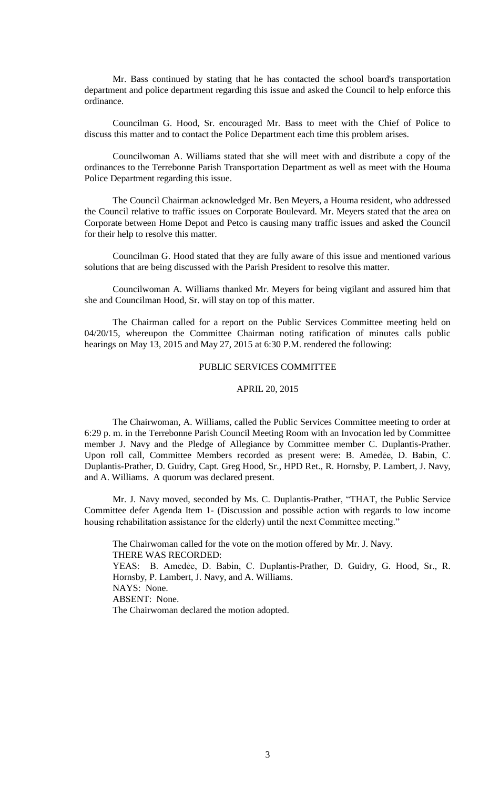Mr. Bass continued by stating that he has contacted the school board's transportation department and police department regarding this issue and asked the Council to help enforce this ordinance.

Councilman G. Hood, Sr. encouraged Mr. Bass to meet with the Chief of Police to discuss this matter and to contact the Police Department each time this problem arises.

Councilwoman A. Williams stated that she will meet with and distribute a copy of the ordinances to the Terrebonne Parish Transportation Department as well as meet with the Houma Police Department regarding this issue.

The Council Chairman acknowledged Mr. Ben Meyers, a Houma resident, who addressed the Council relative to traffic issues on Corporate Boulevard. Mr. Meyers stated that the area on Corporate between Home Depot and Petco is causing many traffic issues and asked the Council for their help to resolve this matter.

Councilman G. Hood stated that they are fully aware of this issue and mentioned various solutions that are being discussed with the Parish President to resolve this matter.

Councilwoman A. Williams thanked Mr. Meyers for being vigilant and assured him that she and Councilman Hood, Sr. will stay on top of this matter.

The Chairman called for a report on the Public Services Committee meeting held on 04/20/15, whereupon the Committee Chairman noting ratification of minutes calls public hearings on May 13, 2015 and May 27, 2015 at 6:30 P.M. rendered the following:

# PUBLIC SERVICES COMMITTEE

## APRIL 20, 2015

The Chairwoman, A. Williams, called the Public Services Committee meeting to order at 6:29 p. m. in the Terrebonne Parish Council Meeting Room with an Invocation led by Committee member J. Navy and the Pledge of Allegiance by Committee member C. Duplantis-Prather. Upon roll call, Committee Members recorded as present were: B. Amedẻe, D. Babin, C. Duplantis-Prather, D. Guidry, Capt. Greg Hood, Sr., HPD Ret., R. Hornsby, P. Lambert, J. Navy, and A. Williams. A quorum was declared present.

Mr. J. Navy moved, seconded by Ms. C. Duplantis-Prather, "THAT, the Public Service Committee defer Agenda Item 1- (Discussion and possible action with regards to low income housing rehabilitation assistance for the elderly) until the next Committee meeting."

The Chairwoman called for the vote on the motion offered by Mr. J. Navy. THERE WAS RECORDED: YEAS: B. Amedẻe, D. Babin, C. Duplantis-Prather, D. Guidry, G. Hood, Sr., R. Hornsby, P. Lambert, J. Navy, and A. Williams. NAYS: None. ABSENT: None. The Chairwoman declared the motion adopted.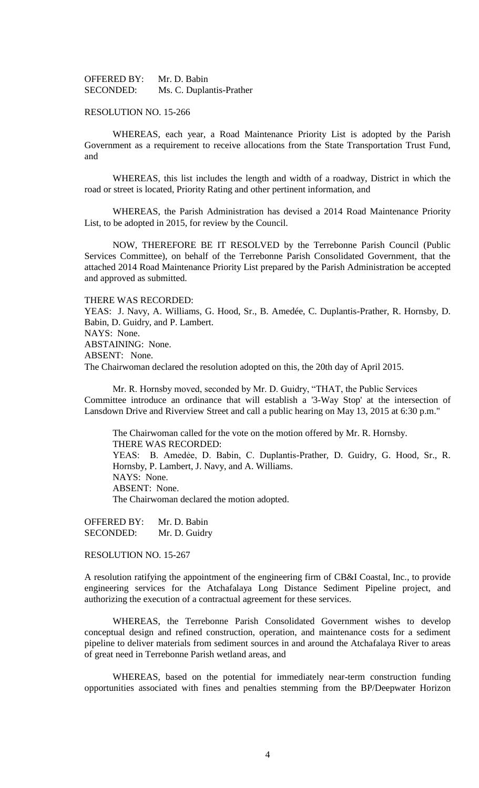OFFERED BY: Mr. D. Babin SECONDED: Ms. C. Duplantis-Prather

### RESOLUTION NO. 15-266

WHEREAS, each year, a Road Maintenance Priority List is adopted by the Parish Government as a requirement to receive allocations from the State Transportation Trust Fund, and

WHEREAS, this list includes the length and width of a roadway, District in which the road or street is located, Priority Rating and other pertinent information, and

WHEREAS, the Parish Administration has devised a 2014 Road Maintenance Priority List, to be adopted in 2015, for review by the Council.

NOW, THEREFORE BE IT RESOLVED by the Terrebonne Parish Council (Public Services Committee), on behalf of the Terrebonne Parish Consolidated Government, that the attached 2014 Road Maintenance Priority List prepared by the Parish Administration be accepted and approved as submitted.

THERE WAS RECORDED:

YEAS: J. Navy, A. Williams, G. Hood, Sr., B. Amedée, C. Duplantis-Prather, R. Hornsby, D. Babin, D. Guidry, and P. Lambert. NAYS: None. ABSTAINING: None. ABSENT: None. The Chairwoman declared the resolution adopted on this, the 20th day of April 2015.

Mr. R. Hornsby moved, seconded by Mr. D. Guidry, "THAT, the Public Services Committee introduce an ordinance that will establish a '3-Way Stop' at the intersection of Lansdown Drive and Riverview Street and call a public hearing on May 13, 2015 at 6:30 p.m."

The Chairwoman called for the vote on the motion offered by Mr. R. Hornsby. THERE WAS RECORDED: YEAS: B. Amedẻe, D. Babin, C. Duplantis-Prather, D. Guidry, G. Hood, Sr., R. Hornsby, P. Lambert, J. Navy, and A. Williams. NAYS: None. ABSENT: None. The Chairwoman declared the motion adopted.

OFFERED BY: Mr. D. Babin SECONDED: Mr. D. Guidry

RESOLUTION NO. 15-267

A resolution ratifying the appointment of the engineering firm of CB&I Coastal, Inc., to provide engineering services for the Atchafalaya Long Distance Sediment Pipeline project, and authorizing the execution of a contractual agreement for these services.

WHEREAS, the Terrebonne Parish Consolidated Government wishes to develop conceptual design and refined construction, operation, and maintenance costs for a sediment pipeline to deliver materials from sediment sources in and around the Atchafalaya River to areas of great need in Terrebonne Parish wetland areas, and

WHEREAS, based on the potential for immediately near-term construction funding opportunities associated with fines and penalties stemming from the BP/Deepwater Horizon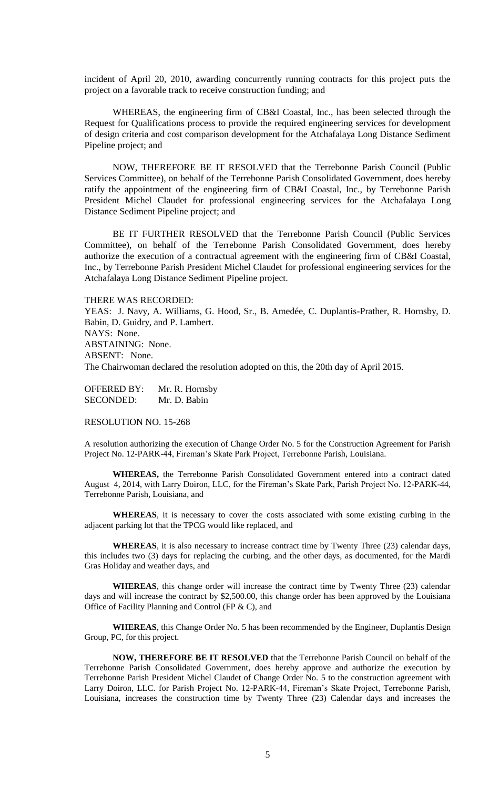incident of April 20, 2010, awarding concurrently running contracts for this project puts the project on a favorable track to receive construction funding; and

WHEREAS, the engineering firm of CB&I Coastal, Inc., has been selected through the Request for Qualifications process to provide the required engineering services for development of design criteria and cost comparison development for the Atchafalaya Long Distance Sediment Pipeline project; and

NOW, THEREFORE BE IT RESOLVED that the Terrebonne Parish Council (Public Services Committee), on behalf of the Terrebonne Parish Consolidated Government, does hereby ratify the appointment of the engineering firm of CB&I Coastal, Inc., by Terrebonne Parish President Michel Claudet for professional engineering services for the Atchafalaya Long Distance Sediment Pipeline project; and

BE IT FURTHER RESOLVED that the Terrebonne Parish Council (Public Services Committee), on behalf of the Terrebonne Parish Consolidated Government, does hereby authorize the execution of a contractual agreement with the engineering firm of CB&I Coastal, Inc., by Terrebonne Parish President Michel Claudet for professional engineering services for the Atchafalaya Long Distance Sediment Pipeline project.

THERE WAS RECORDED:

YEAS: J. Navy, A. Williams, G. Hood, Sr., B. Amedée, C. Duplantis-Prather, R. Hornsby, D. Babin, D. Guidry, and P. Lambert. NAYS: None. ABSTAINING: None. ABSENT: None. The Chairwoman declared the resolution adopted on this, the 20th day of April 2015.

OFFERED BY: Mr. R. Hornsby SECONDED: Mr. D. Babin

RESOLUTION NO. 15-268

A resolution authorizing the execution of Change Order No. 5 for the Construction Agreement for Parish Project No. 12-PARK-44, Fireman's Skate Park Project, Terrebonne Parish, Louisiana.

**WHEREAS,** the Terrebonne Parish Consolidated Government entered into a contract dated August 4, 2014, with Larry Doiron, LLC, for the Fireman's Skate Park, Parish Project No. 12-PARK-44, Terrebonne Parish, Louisiana, and

**WHEREAS**, it is necessary to cover the costs associated with some existing curbing in the adjacent parking lot that the TPCG would like replaced, and

**WHEREAS**, it is also necessary to increase contract time by Twenty Three (23) calendar days, this includes two (3) days for replacing the curbing, and the other days, as documented, for the Mardi Gras Holiday and weather days, and

**WHEREAS**, this change order will increase the contract time by Twenty Three (23) calendar days and will increase the contract by \$2,500.00, this change order has been approved by the Louisiana Office of Facility Planning and Control (FP & C), and

**WHEREAS**, this Change Order No. 5 has been recommended by the Engineer, Duplantis Design Group, PC, for this project.

**NOW, THEREFORE BE IT RESOLVED** that the Terrebonne Parish Council on behalf of the Terrebonne Parish Consolidated Government, does hereby approve and authorize the execution by Terrebonne Parish President Michel Claudet of Change Order No. 5 to the construction agreement with Larry Doiron, LLC. for Parish Project No. 12-PARK-44, Fireman's Skate Project, Terrebonne Parish, Louisiana, increases the construction time by Twenty Three (23) Calendar days and increases the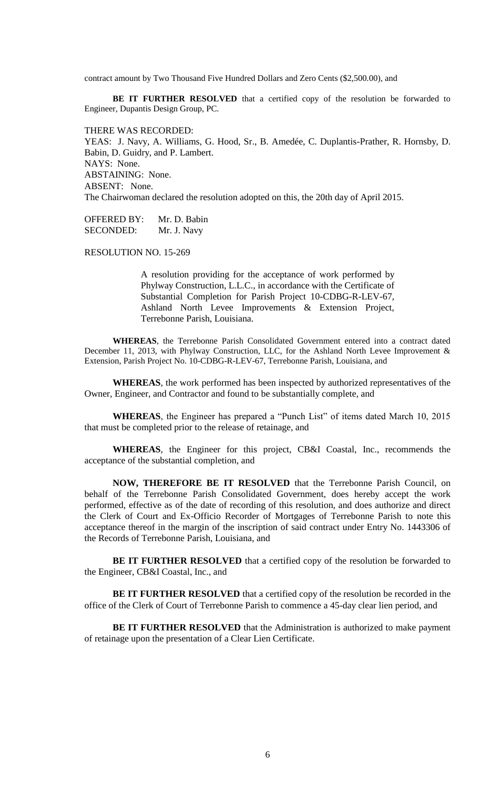contract amount by Two Thousand Five Hundred Dollars and Zero Cents (\$2,500.00), and

BE IT FURTHER RESOLVED that a certified copy of the resolution be forwarded to Engineer, Dupantis Design Group, PC.

THERE WAS RECORDED: YEAS: J. Navy, A. Williams, G. Hood, Sr., B. Amedée, C. Duplantis-Prather, R. Hornsby, D. Babin, D. Guidry, and P. Lambert. NAYS: None. ABSTAINING: None. ABSENT: None. The Chairwoman declared the resolution adopted on this, the 20th day of April 2015.

OFFERED BY: Mr. D. Babin SECONDED: Mr. J. Navy

RESOLUTION NO. 15-269

A resolution providing for the acceptance of work performed by Phylway Construction, L.L.C., in accordance with the Certificate of Substantial Completion for Parish Project 10-CDBG-R-LEV-67, Ashland North Levee Improvements & Extension Project, Terrebonne Parish, Louisiana.

**WHEREAS**, the Terrebonne Parish Consolidated Government entered into a contract dated December 11, 2013, with Phylway Construction, LLC, for the Ashland North Levee Improvement & Extension, Parish Project No. 10-CDBG-R-LEV-67, Terrebonne Parish, Louisiana, and

**WHEREAS**, the work performed has been inspected by authorized representatives of the Owner, Engineer, and Contractor and found to be substantially complete, and

**WHEREAS**, the Engineer has prepared a "Punch List" of items dated March 10, 2015 that must be completed prior to the release of retainage, and

**WHEREAS**, the Engineer for this project, CB&I Coastal, Inc., recommends the acceptance of the substantial completion, and

**NOW, THEREFORE BE IT RESOLVED** that the Terrebonne Parish Council, on behalf of the Terrebonne Parish Consolidated Government, does hereby accept the work performed, effective as of the date of recording of this resolution, and does authorize and direct the Clerk of Court and Ex-Officio Recorder of Mortgages of Terrebonne Parish to note this acceptance thereof in the margin of the inscription of said contract under Entry No. 1443306 of the Records of Terrebonne Parish, Louisiana, and

BE IT FURTHER RESOLVED that a certified copy of the resolution be forwarded to the Engineer, CB&I Coastal, Inc., and

**BE IT FURTHER RESOLVED** that a certified copy of the resolution be recorded in the office of the Clerk of Court of Terrebonne Parish to commence a 45-day clear lien period, and

**BE IT FURTHER RESOLVED** that the Administration is authorized to make payment of retainage upon the presentation of a Clear Lien Certificate.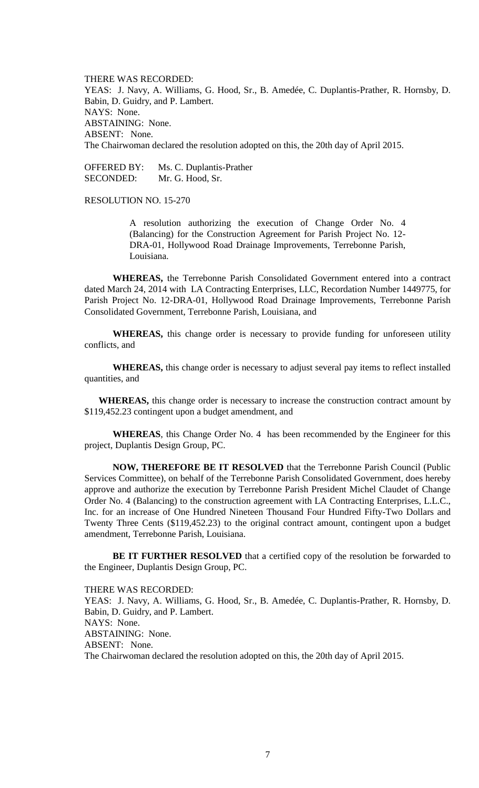THERE WAS RECORDED: YEAS: J. Navy, A. Williams, G. Hood, Sr., B. Amedée, C. Duplantis-Prather, R. Hornsby, D. Babin, D. Guidry, and P. Lambert. NAYS: None. ABSTAINING: None. ABSENT: None. The Chairwoman declared the resolution adopted on this, the 20th day of April 2015.

OFFERED BY: Ms. C. Duplantis-Prather SECONDED: Mr. G. Hood, Sr.

RESOLUTION NO. 15-270

A resolution authorizing the execution of Change Order No. 4 (Balancing) for the Construction Agreement for Parish Project No. 12- DRA-01, Hollywood Road Drainage Improvements, Terrebonne Parish, Louisiana.

**WHEREAS,** the Terrebonne Parish Consolidated Government entered into a contract dated March 24, 2014 with LA Contracting Enterprises, LLC, Recordation Number 1449775, for Parish Project No. 12-DRA-01, Hollywood Road Drainage Improvements, Terrebonne Parish Consolidated Government, Terrebonne Parish, Louisiana, and

**WHEREAS,** this change order is necessary to provide funding for unforeseen utility conflicts, and

**WHEREAS,** this change order is necessary to adjust several pay items to reflect installed quantities, and

**WHEREAS,** this change order is necessary to increase the construction contract amount by \$119,452.23 contingent upon a budget amendment, and

**WHEREAS**, this Change Order No. 4 has been recommended by the Engineer for this project, Duplantis Design Group, PC.

**NOW, THEREFORE BE IT RESOLVED** that the Terrebonne Parish Council (Public Services Committee), on behalf of the Terrebonne Parish Consolidated Government, does hereby approve and authorize the execution by Terrebonne Parish President Michel Claudet of Change Order No. 4 (Balancing) to the construction agreement with LA Contracting Enterprises, L.L.C., Inc. for an increase of One Hundred Nineteen Thousand Four Hundred Fifty-Two Dollars and Twenty Three Cents (\$119,452.23) to the original contract amount, contingent upon a budget amendment, Terrebonne Parish, Louisiana.

**BE IT FURTHER RESOLVED** that a certified copy of the resolution be forwarded to the Engineer, Duplantis Design Group, PC.

THERE WAS RECORDED: YEAS: J. Navy, A. Williams, G. Hood, Sr., B. Amedée, C. Duplantis-Prather, R. Hornsby, D. Babin, D. Guidry, and P. Lambert. NAYS: None. ABSTAINING: None. ABSENT: None. The Chairwoman declared the resolution adopted on this, the 20th day of April 2015.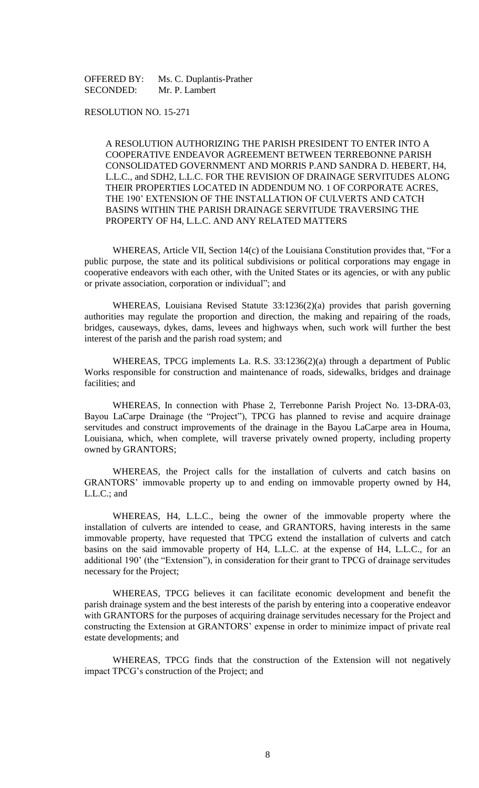OFFERED BY: Ms. C. Duplantis-Prather SECONDED: Mr. P. Lambert

## RESOLUTION NO. 15-271

A RESOLUTION AUTHORIZING THE PARISH PRESIDENT TO ENTER INTO A COOPERATIVE ENDEAVOR AGREEMENT BETWEEN TERREBONNE PARISH CONSOLIDATED GOVERNMENT AND MORRIS P.AND SANDRA D. HEBERT, H4, L.L.C., and SDH2, L.L.C. FOR THE REVISION OF DRAINAGE SERVITUDES ALONG THEIR PROPERTIES LOCATED IN ADDENDUM NO. 1 OF CORPORATE ACRES, THE 190' EXTENSION OF THE INSTALLATION OF CULVERTS AND CATCH BASINS WITHIN THE PARISH DRAINAGE SERVITUDE TRAVERSING THE PROPERTY OF H4, L.L.C. AND ANY RELATED MATTERS

WHEREAS, Article VII, Section 14(c) of the Louisiana Constitution provides that, "For a public purpose, the state and its political subdivisions or political corporations may engage in cooperative endeavors with each other, with the United States or its agencies, or with any public or private association, corporation or individual"; and

WHEREAS, Louisiana Revised Statute 33:1236(2)(a) provides that parish governing authorities may regulate the proportion and direction, the making and repairing of the roads, bridges, causeways, dykes, dams, levees and highways when, such work will further the best interest of the parish and the parish road system; and

WHEREAS, TPCG implements La. R.S. 33:1236(2)(a) through a department of Public Works responsible for construction and maintenance of roads, sidewalks, bridges and drainage facilities; and

WHEREAS, In connection with Phase 2, Terrebonne Parish Project No. 13-DRA-03, Bayou LaCarpe Drainage (the "Project"), TPCG has planned to revise and acquire drainage servitudes and construct improvements of the drainage in the Bayou LaCarpe area in Houma, Louisiana, which, when complete, will traverse privately owned property, including property owned by GRANTORS;

WHEREAS, the Project calls for the installation of culverts and catch basins on GRANTORS' immovable property up to and ending on immovable property owned by H4, L.L.C.; and

WHEREAS, H4, L.L.C., being the owner of the immovable property where the installation of culverts are intended to cease, and GRANTORS, having interests in the same immovable property, have requested that TPCG extend the installation of culverts and catch basins on the said immovable property of H4, L.L.C. at the expense of H4, L.L.C., for an additional 190' (the "Extension"), in consideration for their grant to TPCG of drainage servitudes necessary for the Project;

WHEREAS, TPCG believes it can facilitate economic development and benefit the parish drainage system and the best interests of the parish by entering into a cooperative endeavor with GRANTORS for the purposes of acquiring drainage servitudes necessary for the Project and constructing the Extension at GRANTORS' expense in order to minimize impact of private real estate developments; and

WHEREAS, TPCG finds that the construction of the Extension will not negatively impact TPCG's construction of the Project; and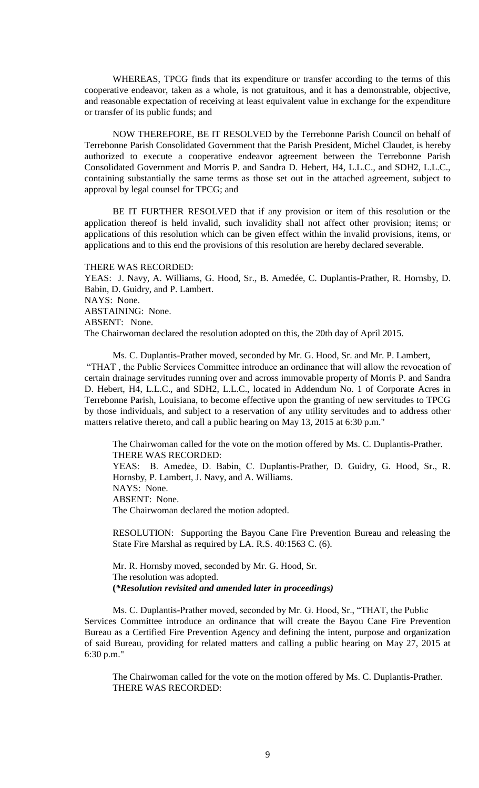WHEREAS, TPCG finds that its expenditure or transfer according to the terms of this cooperative endeavor, taken as a whole, is not gratuitous, and it has a demonstrable, objective, and reasonable expectation of receiving at least equivalent value in exchange for the expenditure or transfer of its public funds; and

NOW THEREFORE, BE IT RESOLVED by the Terrebonne Parish Council on behalf of Terrebonne Parish Consolidated Government that the Parish President, Michel Claudet, is hereby authorized to execute a cooperative endeavor agreement between the Terrebonne Parish Consolidated Government and Morris P. and Sandra D. Hebert, H4, L.L.C., and SDH2, L.L.C., containing substantially the same terms as those set out in the attached agreement, subject to approval by legal counsel for TPCG; and

BE IT FURTHER RESOLVED that if any provision or item of this resolution or the application thereof is held invalid, such invalidity shall not affect other provision; items; or applications of this resolution which can be given effect within the invalid provisions, items, or applications and to this end the provisions of this resolution are hereby declared severable.

THERE WAS RECORDED:

YEAS: J. Navy, A. Williams, G. Hood, Sr., B. Amedée, C. Duplantis-Prather, R. Hornsby, D. Babin, D. Guidry, and P. Lambert. NAYS: None. ABSTAINING: None. ABSENT: None. The Chairwoman declared the resolution adopted on this, the 20th day of April 2015.

Ms. C. Duplantis-Prather moved, seconded by Mr. G. Hood, Sr. and Mr. P. Lambert, "THAT , the Public Services Committee introduce an ordinance that will allow the revocation of certain drainage servitudes running over and across immovable property of Morris P. and Sandra D. Hebert, H4, L.L.C., and SDH2, L.L.C., located in Addendum No. 1 of Corporate Acres in Terrebonne Parish, Louisiana, to become effective upon the granting of new servitudes to TPCG by those individuals, and subject to a reservation of any utility servitudes and to address other matters relative thereto, and call a public hearing on May 13, 2015 at 6:30 p.m."

The Chairwoman called for the vote on the motion offered by Ms. C. Duplantis-Prather. THERE WAS RECORDED: YEAS: B. Amedẻe, D. Babin, C. Duplantis-Prather, D. Guidry, G. Hood, Sr., R. Hornsby, P. Lambert, J. Navy, and A. Williams. NAYS: None. ABSENT: None. The Chairwoman declared the motion adopted.

RESOLUTION: Supporting the Bayou Cane Fire Prevention Bureau and releasing the State Fire Marshal as required by LA. R.S. 40:1563 C. (6).

Mr. R. Hornsby moved, seconded by Mr. G. Hood, Sr. The resolution was adopted. **(***\*Resolution revisited and amended later in proceedings)*

Ms. C. Duplantis-Prather moved, seconded by Mr. G. Hood, Sr., "THAT, the Public Services Committee introduce an ordinance that will create the Bayou Cane Fire Prevention Bureau as a Certified Fire Prevention Agency and defining the intent, purpose and organization of said Bureau, providing for related matters and calling a public hearing on May 27, 2015 at 6:30 p.m."

The Chairwoman called for the vote on the motion offered by Ms. C. Duplantis-Prather. THERE WAS RECORDED: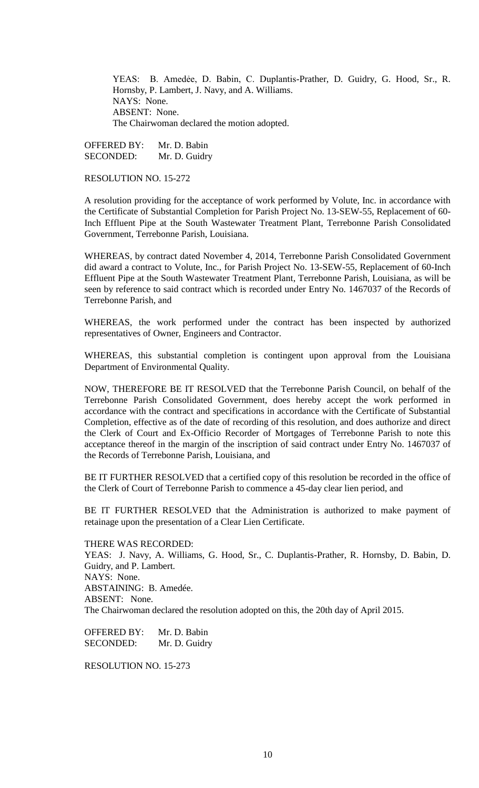YEAS: B. Amedẻe, D. Babin, C. Duplantis-Prather, D. Guidry, G. Hood, Sr., R. Hornsby, P. Lambert, J. Navy, and A. Williams. NAYS: None. ABSENT: None. The Chairwoman declared the motion adopted.

OFFERED BY: Mr. D. Babin SECONDED: Mr. D. Guidry

RESOLUTION NO. 15-272

A resolution providing for the acceptance of work performed by Volute, Inc. in accordance with the Certificate of Substantial Completion for Parish Project No. 13-SEW-55, Replacement of 60- Inch Effluent Pipe at the South Wastewater Treatment Plant, Terrebonne Parish Consolidated Government, Terrebonne Parish, Louisiana.

WHEREAS, by contract dated November 4, 2014, Terrebonne Parish Consolidated Government did award a contract to Volute, Inc., for Parish Project No. 13-SEW-55, Replacement of 60-Inch Effluent Pipe at the South Wastewater Treatment Plant, Terrebonne Parish, Louisiana, as will be seen by reference to said contract which is recorded under Entry No. 1467037 of the Records of Terrebonne Parish, and

WHEREAS, the work performed under the contract has been inspected by authorized representatives of Owner, Engineers and Contractor.

WHEREAS, this substantial completion is contingent upon approval from the Louisiana Department of Environmental Quality.

NOW, THEREFORE BE IT RESOLVED that the Terrebonne Parish Council, on behalf of the Terrebonne Parish Consolidated Government, does hereby accept the work performed in accordance with the contract and specifications in accordance with the Certificate of Substantial Completion, effective as of the date of recording of this resolution, and does authorize and direct the Clerk of Court and Ex-Officio Recorder of Mortgages of Terrebonne Parish to note this acceptance thereof in the margin of the inscription of said contract under Entry No. 1467037 of the Records of Terrebonne Parish, Louisiana, and

BE IT FURTHER RESOLVED that a certified copy of this resolution be recorded in the office of the Clerk of Court of Terrebonne Parish to commence a 45-day clear lien period, and

BE IT FURTHER RESOLVED that the Administration is authorized to make payment of retainage upon the presentation of a Clear Lien Certificate.

THERE WAS RECORDED:

YEAS: J. Navy, A. Williams, G. Hood, Sr., C. Duplantis-Prather, R. Hornsby, D. Babin, D. Guidry, and P. Lambert. NAYS: None. ABSTAINING: B. Amedée. ABSENT: None. The Chairwoman declared the resolution adopted on this, the 20th day of April 2015.

OFFERED BY: Mr. D. Babin SECONDED: Mr. D. Guidry

RESOLUTION NO. 15-273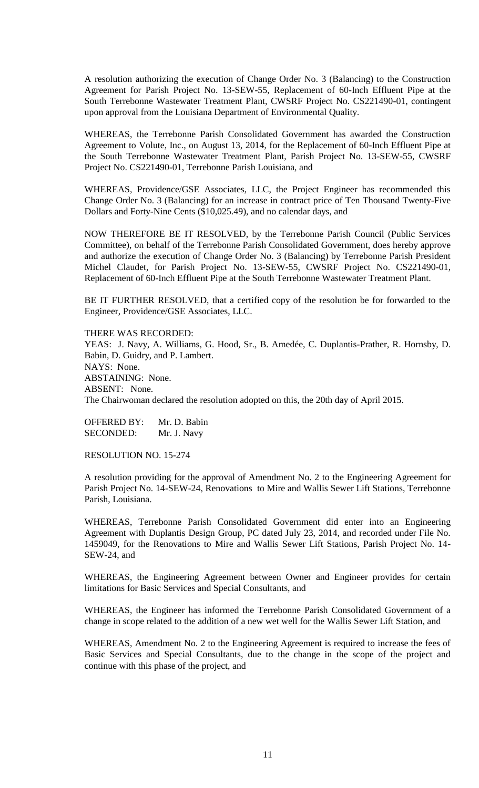A resolution authorizing the execution of Change Order No. 3 (Balancing) to the Construction Agreement for Parish Project No. 13-SEW-55, Replacement of 60-Inch Effluent Pipe at the South Terrebonne Wastewater Treatment Plant, CWSRF Project No. CS221490-01, contingent upon approval from the Louisiana Department of Environmental Quality.

WHEREAS, the Terrebonne Parish Consolidated Government has awarded the Construction Agreement to Volute, Inc., on August 13, 2014, for the Replacement of 60-Inch Effluent Pipe at the South Terrebonne Wastewater Treatment Plant, Parish Project No. 13-SEW-55, CWSRF Project No. CS221490-01, Terrebonne Parish Louisiana, and

WHEREAS, Providence/GSE Associates, LLC, the Project Engineer has recommended this Change Order No. 3 (Balancing) for an increase in contract price of Ten Thousand Twenty-Five Dollars and Forty-Nine Cents (\$10,025.49), and no calendar days, and

NOW THEREFORE BE IT RESOLVED, by the Terrebonne Parish Council (Public Services Committee), on behalf of the Terrebonne Parish Consolidated Government, does hereby approve and authorize the execution of Change Order No. 3 (Balancing) by Terrebonne Parish President Michel Claudet, for Parish Project No. 13-SEW-55, CWSRF Project No. CS221490-01, Replacement of 60-Inch Effluent Pipe at the South Terrebonne Wastewater Treatment Plant.

BE IT FURTHER RESOLVED, that a certified copy of the resolution be for forwarded to the Engineer, Providence/GSE Associates, LLC.

THERE WAS RECORDED:

YEAS: J. Navy, A. Williams, G. Hood, Sr., B. Amedée, C. Duplantis-Prather, R. Hornsby, D. Babin, D. Guidry, and P. Lambert. NAYS: None. ABSTAINING: None. ABSENT: None. The Chairwoman declared the resolution adopted on this, the 20th day of April 2015.

OFFERED BY: Mr. D. Babin SECONDED: Mr. J. Navy

RESOLUTION NO. 15-274

A resolution providing for the approval of Amendment No. 2 to the Engineering Agreement for Parish Project No. 14-SEW-24, Renovations to Mire and Wallis Sewer Lift Stations, Terrebonne Parish, Louisiana.

WHEREAS, Terrebonne Parish Consolidated Government did enter into an Engineering Agreement with Duplantis Design Group, PC dated July 23, 2014, and recorded under File No. 1459049, for the Renovations to Mire and Wallis Sewer Lift Stations, Parish Project No. 14- SEW-24, and

WHEREAS, the Engineering Agreement between Owner and Engineer provides for certain limitations for Basic Services and Special Consultants, and

WHEREAS, the Engineer has informed the Terrebonne Parish Consolidated Government of a change in scope related to the addition of a new wet well for the Wallis Sewer Lift Station, and

WHEREAS, Amendment No. 2 to the Engineering Agreement is required to increase the fees of Basic Services and Special Consultants, due to the change in the scope of the project and continue with this phase of the project, and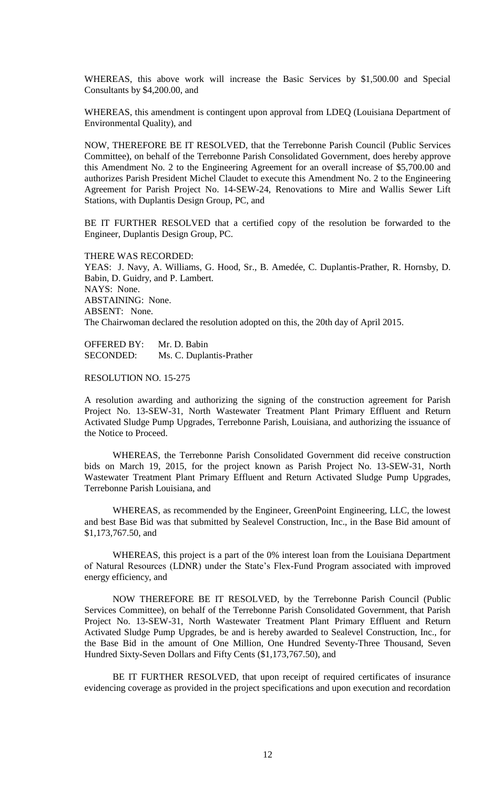WHEREAS, this above work will increase the Basic Services by \$1,500.00 and Special Consultants by \$4,200.00, and

WHEREAS, this amendment is contingent upon approval from LDEQ (Louisiana Department of Environmental Quality), and

NOW, THEREFORE BE IT RESOLVED, that the Terrebonne Parish Council (Public Services Committee), on behalf of the Terrebonne Parish Consolidated Government, does hereby approve this Amendment No. 2 to the Engineering Agreement for an overall increase of \$5,700.00 and authorizes Parish President Michel Claudet to execute this Amendment No. 2 to the Engineering Agreement for Parish Project No. 14-SEW-24, Renovations to Mire and Wallis Sewer Lift Stations, with Duplantis Design Group, PC, and

BE IT FURTHER RESOLVED that a certified copy of the resolution be forwarded to the Engineer, Duplantis Design Group, PC.

THERE WAS RECORDED: YEAS: J. Navy, A. Williams, G. Hood, Sr., B. Amedée, C. Duplantis-Prather, R. Hornsby, D. Babin, D. Guidry, and P. Lambert. NAYS: None. ABSTAINING: None. ABSENT: None. The Chairwoman declared the resolution adopted on this, the 20th day of April 2015.

OFFERED BY: Mr. D. Babin SECONDED: Ms. C. Duplantis-Prather

RESOLUTION NO. 15-275

A resolution awarding and authorizing the signing of the construction agreement for Parish Project No. 13-SEW-31, North Wastewater Treatment Plant Primary Effluent and Return Activated Sludge Pump Upgrades, Terrebonne Parish, Louisiana, and authorizing the issuance of the Notice to Proceed.

WHEREAS, the Terrebonne Parish Consolidated Government did receive construction bids on March 19, 2015, for the project known as Parish Project No. 13-SEW-31, North Wastewater Treatment Plant Primary Effluent and Return Activated Sludge Pump Upgrades, Terrebonne Parish Louisiana, and

WHEREAS, as recommended by the Engineer, GreenPoint Engineering, LLC, the lowest and best Base Bid was that submitted by Sealevel Construction, Inc., in the Base Bid amount of \$1,173,767.50, and

WHEREAS, this project is a part of the 0% interest loan from the Louisiana Department of Natural Resources (LDNR) under the State's Flex-Fund Program associated with improved energy efficiency, and

NOW THEREFORE BE IT RESOLVED, by the Terrebonne Parish Council (Public Services Committee), on behalf of the Terrebonne Parish Consolidated Government, that Parish Project No. 13-SEW-31, North Wastewater Treatment Plant Primary Effluent and Return Activated Sludge Pump Upgrades, be and is hereby awarded to Sealevel Construction, Inc., for the Base Bid in the amount of One Million, One Hundred Seventy-Three Thousand, Seven Hundred Sixty-Seven Dollars and Fifty Cents (\$1,173,767.50), and

BE IT FURTHER RESOLVED, that upon receipt of required certificates of insurance evidencing coverage as provided in the project specifications and upon execution and recordation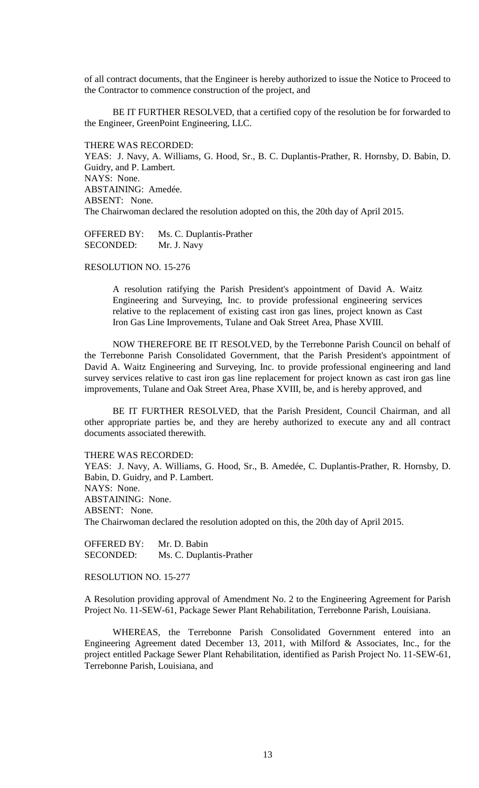of all contract documents, that the Engineer is hereby authorized to issue the Notice to Proceed to the Contractor to commence construction of the project, and

BE IT FURTHER RESOLVED, that a certified copy of the resolution be for forwarded to the Engineer, GreenPoint Engineering, LLC.

THERE WAS RECORDED: YEAS: J. Navy, A. Williams, G. Hood, Sr., B. C. Duplantis-Prather, R. Hornsby, D. Babin, D. Guidry, and P. Lambert. NAYS: None. ABSTAINING: Amedée. ABSENT: None. The Chairwoman declared the resolution adopted on this, the 20th day of April 2015.

OFFERED BY: Ms. C. Duplantis-Prather SECONDED: Mr. J. Navy

RESOLUTION NO. 15-276

A resolution ratifying the Parish President's appointment of David A. Waitz Engineering and Surveying, Inc. to provide professional engineering services relative to the replacement of existing cast iron gas lines, project known as Cast Iron Gas Line Improvements, Tulane and Oak Street Area, Phase XVIII.

 NOW THEREFORE BE IT RESOLVED, by the Terrebonne Parish Council on behalf of the Terrebonne Parish Consolidated Government, that the Parish President's appointment of David A. Waitz Engineering and Surveying, Inc. to provide professional engineering and land survey services relative to cast iron gas line replacement for project known as cast iron gas line improvements, Tulane and Oak Street Area, Phase XVIII, be, and is hereby approved, and

 BE IT FURTHER RESOLVED, that the Parish President, Council Chairman, and all other appropriate parties be, and they are hereby authorized to execute any and all contract documents associated therewith.

THERE WAS RECORDED:

YEAS: J. Navy, A. Williams, G. Hood, Sr., B. Amedée, C. Duplantis-Prather, R. Hornsby, D. Babin, D. Guidry, and P. Lambert. NAYS: None. ABSTAINING: None. ABSENT: None. The Chairwoman declared the resolution adopted on this, the 20th day of April 2015.

OFFERED BY: Mr. D. Babin SECONDED: Ms. C. Duplantis-Prather

RESOLUTION NO. 15-277

A Resolution providing approval of Amendment No. 2 to the Engineering Agreement for Parish Project No. 11-SEW-61, Package Sewer Plant Rehabilitation, Terrebonne Parish, Louisiana.

WHEREAS, the Terrebonne Parish Consolidated Government entered into an Engineering Agreement dated December 13, 2011, with Milford & Associates, Inc., for the project entitled Package Sewer Plant Rehabilitation, identified as Parish Project No. 11-SEW-61, Terrebonne Parish, Louisiana, and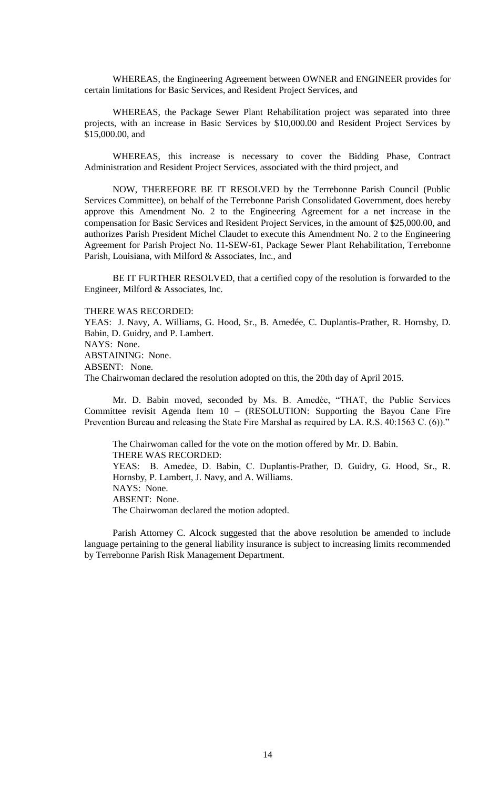WHEREAS, the Engineering Agreement between OWNER and ENGINEER provides for certain limitations for Basic Services, and Resident Project Services, and

WHEREAS, the Package Sewer Plant Rehabilitation project was separated into three projects, with an increase in Basic Services by \$10,000.00 and Resident Project Services by \$15,000.00, and

WHEREAS, this increase is necessary to cover the Bidding Phase, Contract Administration and Resident Project Services, associated with the third project, and

NOW, THEREFORE BE IT RESOLVED by the Terrebonne Parish Council (Public Services Committee), on behalf of the Terrebonne Parish Consolidated Government, does hereby approve this Amendment No. 2 to the Engineering Agreement for a net increase in the compensation for Basic Services and Resident Project Services, in the amount of \$25,000.00, and authorizes Parish President Michel Claudet to execute this Amendment No. 2 to the Engineering Agreement for Parish Project No. 11-SEW-61, Package Sewer Plant Rehabilitation, Terrebonne Parish, Louisiana, with Milford & Associates, Inc., and

BE IT FURTHER RESOLVED, that a certified copy of the resolution is forwarded to the Engineer, Milford & Associates, Inc.

THERE WAS RECORDED:

YEAS: J. Navy, A. Williams, G. Hood, Sr., B. Amedée, C. Duplantis-Prather, R. Hornsby, D. Babin, D. Guidry, and P. Lambert. NAYS: None. ABSTAINING: None. ABSENT: None. The Chairwoman declared the resolution adopted on this, the 20th day of April 2015.

Mr. D. Babin moved, seconded by Ms. B. Amedèe, "THAT, the Public Services Committee revisit Agenda Item 10 – (RESOLUTION: Supporting the Bayou Cane Fire Prevention Bureau and releasing the State Fire Marshal as required by LA. R.S. 40:1563 C. (6))."

The Chairwoman called for the vote on the motion offered by Mr. D. Babin. THERE WAS RECORDED: YEAS: B. Amedẻe, D. Babin, C. Duplantis-Prather, D. Guidry, G. Hood, Sr., R. Hornsby, P. Lambert, J. Navy, and A. Williams. NAYS: None. ABSENT: None. The Chairwoman declared the motion adopted.

Parish Attorney C. Alcock suggested that the above resolution be amended to include language pertaining to the general liability insurance is subject to increasing limits recommended by Terrebonne Parish Risk Management Department.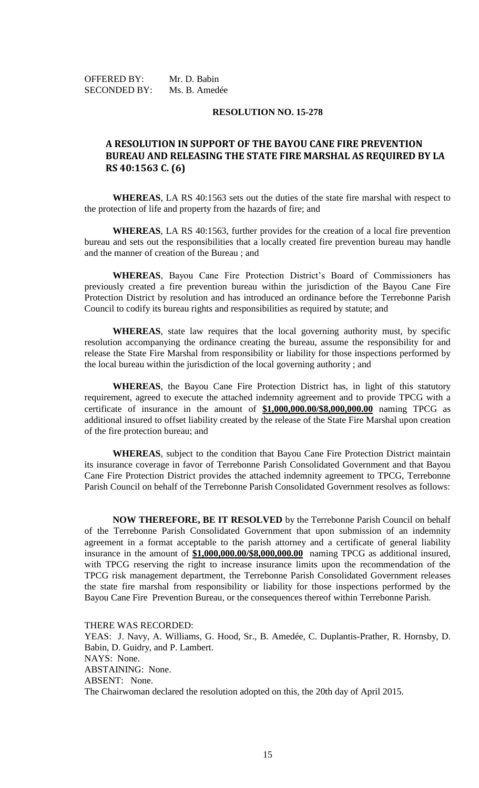OFFERED BY: Mr. D. Babin SECONDED BY: Ms. B. Amedée

## **RESOLUTION NO. 15-278**

# **A RESOLUTION IN SUPPORT OF THE BAYOU CANE FIRE PREVENTION BUREAU AND RELEASING THE STATE FIRE MARSHAL AS REQUIRED BY LA RS 40:1563 C. (6)**

**WHEREAS**, LA RS 40:1563 sets out the duties of the state fire marshal with respect to the protection of life and property from the hazards of fire; and

**WHEREAS**, LA RS 40:1563, further provides for the creation of a local fire prevention bureau and sets out the responsibilities that a locally created fire prevention bureau may handle and the manner of creation of the Bureau ; and

**WHEREAS**, Bayou Cane Fire Protection District's Board of Commissioners has previously created a fire prevention bureau within the jurisdiction of the Bayou Cane Fire Protection District by resolution and has introduced an ordinance before the Terrebonne Parish Council to codify its bureau rights and responsibilities as required by statute; and

**WHEREAS**, state law requires that the local governing authority must, by specific resolution accompanying the ordinance creating the bureau, assume the responsibility for and release the State Fire Marshal from responsibility or liability for those inspections performed by the local bureau within the jurisdiction of the local governing authority ; and

**WHEREAS**, the Bayou Cane Fire Protection District has, in light of this statutory requirement, agreed to execute the attached indemnity agreement and to provide TPCG with a certificate of insurance in the amount of **\$1,000,000.00/\$8,000,000.00** naming TPCG as additional insured to offset liability created by the release of the State Fire Marshal upon creation of the fire protection bureau; and

**WHEREAS**, subject to the condition that Bayou Cane Fire Protection District maintain its insurance coverage in favor of Terrebonne Parish Consolidated Government and that Bayou Cane Fire Protection District provides the attached indemnity agreement to TPCG, Terrebonne Parish Council on behalf of the Terrebonne Parish Consolidated Government resolves as follows:

**NOW THEREFORE, BE IT RESOLVED** by the Terrebonne Parish Council on behalf of the Terrebonne Parish Consolidated Government that upon submission of an indemnity agreement in a format acceptable to the parish attorney and a certificate of general liability insurance in the amount of **\$1,000,000.00/\$8,000,000.00** naming TPCG as additional insured, with TPCG reserving the right to increase insurance limits upon the recommendation of the TPCG risk management department, the Terrebonne Parish Consolidated Government releases the state fire marshal from responsibility or liability for those inspections performed by the Bayou Cane Fire Prevention Bureau, or the consequences thereof within Terrebonne Parish.

THERE WAS RECORDED: YEAS: J. Navy, A. Williams, G. Hood, Sr., B. Amedée, C. Duplantis-Prather, R. Hornsby, D. Babin, D. Guidry, and P. Lambert. NAYS: None. ABSTAINING: None. ABSENT: None. The Chairwoman declared the resolution adopted on this, the 20th day of April 2015.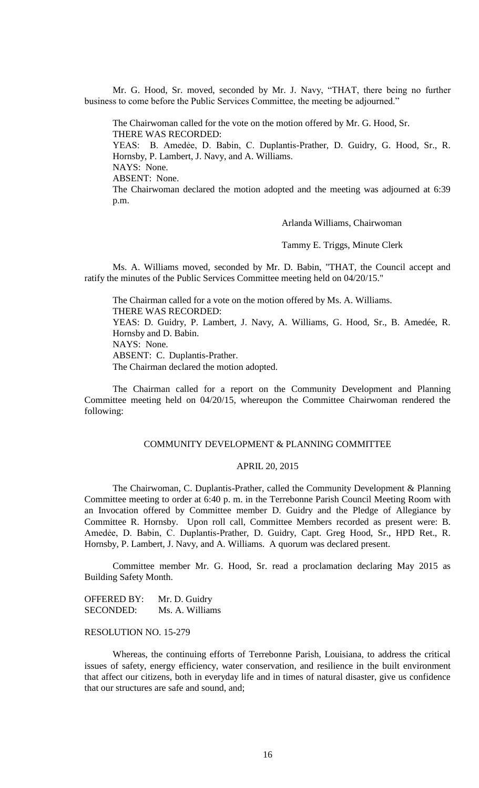Mr. G. Hood, Sr. moved, seconded by Mr. J. Navy, "THAT, there being no further business to come before the Public Services Committee, the meeting be adjourned."

The Chairwoman called for the vote on the motion offered by Mr. G. Hood, Sr. THERE WAS RECORDED:

YEAS: B. Amedẻe, D. Babin, C. Duplantis-Prather, D. Guidry, G. Hood, Sr., R. Hornsby, P. Lambert, J. Navy, and A. Williams. NAYS: None.

ABSENT: None.

The Chairwoman declared the motion adopted and the meeting was adjourned at 6:39 p.m.

Arlanda Williams, Chairwoman

Tammy E. Triggs, Minute Clerk

Ms. A. Williams moved, seconded by Mr. D. Babin, "THAT, the Council accept and ratify the minutes of the Public Services Committee meeting held on 04/20/15."

The Chairman called for a vote on the motion offered by Ms. A. Williams. THERE WAS RECORDED:

YEAS: D. Guidry, P. Lambert, J. Navy, A. Williams, G. Hood, Sr., B. Amedée, R. Hornsby and D. Babin.

NAYS: None.

ABSENT: C. Duplantis-Prather.

The Chairman declared the motion adopted.

The Chairman called for a report on the Community Development and Planning Committee meeting held on 04/20/15, whereupon the Committee Chairwoman rendered the following:

### COMMUNITY DEVELOPMENT & PLANNING COMMITTEE

## APRIL 20, 2015

The Chairwoman, C. Duplantis-Prather, called the Community Development & Planning Committee meeting to order at 6:40 p. m. in the Terrebonne Parish Council Meeting Room with an Invocation offered by Committee member D. Guidry and the Pledge of Allegiance by Committee R. Hornsby. Upon roll call, Committee Members recorded as present were: B. Amedẻe, D. Babin, C. Duplantis-Prather, D. Guidry, Capt. Greg Hood, Sr., HPD Ret., R. Hornsby, P. Lambert, J. Navy, and A. Williams. A quorum was declared present.

Committee member Mr. G. Hood, Sr. read a proclamation declaring May 2015 as Building Safety Month.

OFFERED BY: Mr. D. Guidry SECONDED: Ms. A. Williams

## RESOLUTION NO. 15-279

Whereas, the continuing efforts of Terrebonne Parish, Louisiana, to address the critical issues of safety, energy efficiency, water conservation, and resilience in the built environment that affect our citizens, both in everyday life and in times of natural disaster, give us confidence that our structures are safe and sound, and;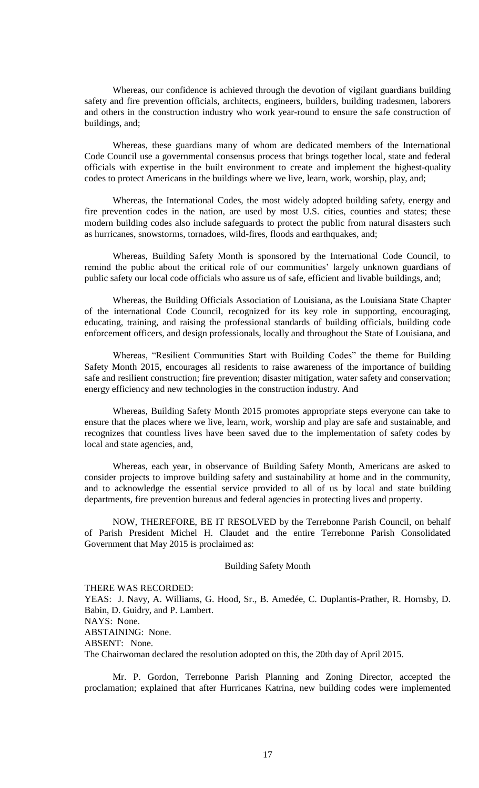Whereas, our confidence is achieved through the devotion of vigilant guardians building safety and fire prevention officials, architects, engineers, builders, building tradesmen, laborers and others in the construction industry who work year-round to ensure the safe construction of buildings, and;

Whereas, these guardians many of whom are dedicated members of the International Code Council use a governmental consensus process that brings together local, state and federal officials with expertise in the built environment to create and implement the highest-quality codes to protect Americans in the buildings where we live, learn, work, worship, play, and;

Whereas, the International Codes, the most widely adopted building safety, energy and fire prevention codes in the nation, are used by most U.S. cities, counties and states; these modern building codes also include safeguards to protect the public from natural disasters such as hurricanes, snowstorms, tornadoes, wild-fires, floods and earthquakes, and;

Whereas, Building Safety Month is sponsored by the International Code Council, to remind the public about the critical role of our communities' largely unknown guardians of public safety our local code officials who assure us of safe, efficient and livable buildings, and;

Whereas, the Building Officials Association of Louisiana, as the Louisiana State Chapter of the international Code Council, recognized for its key role in supporting, encouraging, educating, training, and raising the professional standards of building officials, building code enforcement officers, and design professionals, locally and throughout the State of Louisiana, and

Whereas, "Resilient Communities Start with Building Codes" the theme for Building Safety Month 2015, encourages all residents to raise awareness of the importance of building safe and resilient construction; fire prevention; disaster mitigation, water safety and conservation; energy efficiency and new technologies in the construction industry. And

Whereas, Building Safety Month 2015 promotes appropriate steps everyone can take to ensure that the places where we live, learn, work, worship and play are safe and sustainable, and recognizes that countless lives have been saved due to the implementation of safety codes by local and state agencies, and,

Whereas, each year, in observance of Building Safety Month, Americans are asked to consider projects to improve building safety and sustainability at home and in the community, and to acknowledge the essential service provided to all of us by local and state building departments, fire prevention bureaus and federal agencies in protecting lives and property.

NOW, THEREFORE, BE IT RESOLVED by the Terrebonne Parish Council, on behalf of Parish President Michel H. Claudet and the entire Terrebonne Parish Consolidated Government that May 2015 is proclaimed as:

## Building Safety Month

THERE WAS RECORDED: YEAS: J. Navy, A. Williams, G. Hood, Sr., B. Amedée, C. Duplantis-Prather, R. Hornsby, D. Babin, D. Guidry, and P. Lambert. NAYS: None. ABSTAINING: None. ABSENT: None. The Chairwoman declared the resolution adopted on this, the 20th day of April 2015.

Mr. P. Gordon, Terrebonne Parish Planning and Zoning Director, accepted the proclamation; explained that after Hurricanes Katrina, new building codes were implemented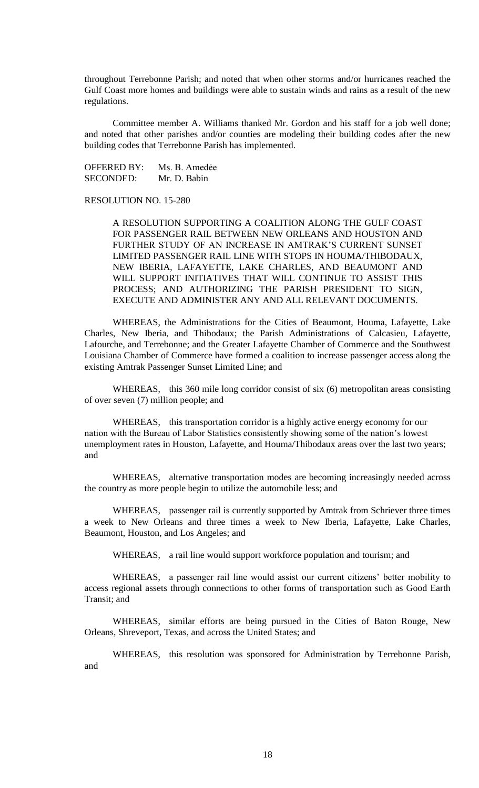throughout Terrebonne Parish; and noted that when other storms and/or hurricanes reached the Gulf Coast more homes and buildings were able to sustain winds and rains as a result of the new regulations.

Committee member A. Williams thanked Mr. Gordon and his staff for a job well done; and noted that other parishes and/or counties are modeling their building codes after the new building codes that Terrebonne Parish has implemented.

OFFERED BY: Ms. B. Amedẻe SECONDED: Mr. D. Babin

# RESOLUTION NO. 15-280

A RESOLUTION SUPPORTING A COALITION ALONG THE GULF COAST FOR PASSENGER RAIL BETWEEN NEW ORLEANS AND HOUSTON AND FURTHER STUDY OF AN INCREASE IN AMTRAK'S CURRENT SUNSET LIMITED PASSENGER RAIL LINE WITH STOPS IN HOUMA/THIBODAUX, NEW IBERIA, LAFAYETTE, LAKE CHARLES, AND BEAUMONT AND WILL SUPPORT INITIATIVES THAT WILL CONTINUE TO ASSIST THIS PROCESS; AND AUTHORIZING THE PARISH PRESIDENT TO SIGN, EXECUTE AND ADMINISTER ANY AND ALL RELEVANT DOCUMENTS.

WHEREAS, the Administrations for the Cities of Beaumont, Houma, Lafayette, Lake Charles, New Iberia, and Thibodaux; the Parish Administrations of Calcasieu, Lafayette, Lafourche, and Terrebonne; and the Greater Lafayette Chamber of Commerce and the Southwest Louisiana Chamber of Commerce have formed a coalition to increase passenger access along the existing Amtrak Passenger Sunset Limited Line; and

WHEREAS, this 360 mile long corridor consist of six (6) metropolitan areas consisting of over seven (7) million people; and

WHEREAS, this transportation corridor is a highly active energy economy for our nation with the Bureau of Labor Statistics consistently showing some of the nation's lowest unemployment rates in Houston, Lafayette, and Houma/Thibodaux areas over the last two years; and

WHEREAS, alternative transportation modes are becoming increasingly needed across the country as more people begin to utilize the automobile less; and

WHEREAS, passenger rail is currently supported by Amtrak from Schriever three times a week to New Orleans and three times a week to New Iberia, Lafayette, Lake Charles, Beaumont, Houston, and Los Angeles; and

WHEREAS, a rail line would support workforce population and tourism; and

WHEREAS, a passenger rail line would assist our current citizens' better mobility to access regional assets through connections to other forms of transportation such as Good Earth Transit; and

WHEREAS, similar efforts are being pursued in the Cities of Baton Rouge, New Orleans, Shreveport, Texas, and across the United States; and

WHEREAS, this resolution was sponsored for Administration by Terrebonne Parish, and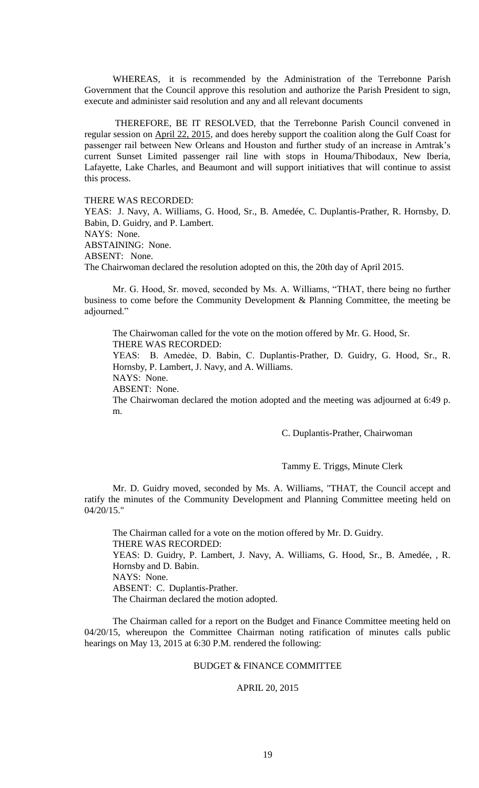WHEREAS, it is recommended by the Administration of the Terrebonne Parish Government that the Council approve this resolution and authorize the Parish President to sign, execute and administer said resolution and any and all relevant documents

 THEREFORE, BE IT RESOLVED, that the Terrebonne Parish Council convened in regular session on April 22, 2015, and does hereby support the coalition along the Gulf Coast for passenger rail between New Orleans and Houston and further study of an increase in Amtrak's current Sunset Limited passenger rail line with stops in Houma/Thibodaux, New Iberia, Lafayette, Lake Charles, and Beaumont and will support initiatives that will continue to assist this process.

THERE WAS RECORDED:

YEAS: J. Navy, A. Williams, G. Hood, Sr., B. Amedée, C. Duplantis-Prather, R. Hornsby, D. Babin, D. Guidry, and P. Lambert. NAYS: None. ABSTAINING: None. ABSENT: None. The Chairwoman declared the resolution adopted on this, the 20th day of April 2015.

Mr. G. Hood, Sr. moved, seconded by Ms. A. Williams, "THAT, there being no further business to come before the Community Development & Planning Committee, the meeting be adjourned."

The Chairwoman called for the vote on the motion offered by Mr. G. Hood, Sr. THERE WAS RECORDED:

YEAS: B. Amedẻe, D. Babin, C. Duplantis-Prather, D. Guidry, G. Hood, Sr., R. Hornsby, P. Lambert, J. Navy, and A. Williams.

NAYS: None.

ABSENT: None.

The Chairwoman declared the motion adopted and the meeting was adjourned at 6:49 p. m.

C. Duplantis-Prather, Chairwoman

Tammy E. Triggs, Minute Clerk

Mr. D. Guidry moved, seconded by Ms. A. Williams, "THAT, the Council accept and ratify the minutes of the Community Development and Planning Committee meeting held on 04/20/15."

The Chairman called for a vote on the motion offered by Mr. D. Guidry. THERE WAS RECORDED: YEAS: D. Guidry, P. Lambert, J. Navy, A. Williams, G. Hood, Sr., B. Amedée, , R. Hornsby and D. Babin. NAYS: None. ABSENT: C. Duplantis-Prather. The Chairman declared the motion adopted.

The Chairman called for a report on the Budget and Finance Committee meeting held on 04/20/15, whereupon the Committee Chairman noting ratification of minutes calls public hearings on May 13, 2015 at 6:30 P.M. rendered the following:

# BUDGET & FINANCE COMMITTEE

### APRIL 20, 2015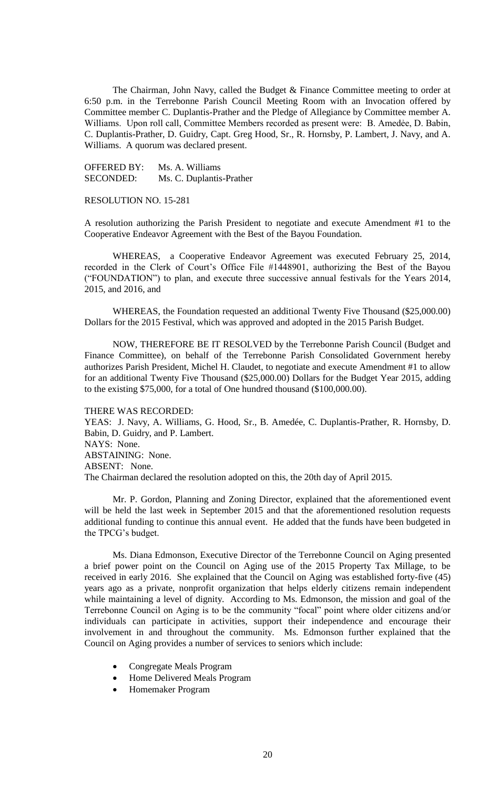The Chairman, John Navy, called the Budget & Finance Committee meeting to order at 6:50 p.m. in the Terrebonne Parish Council Meeting Room with an Invocation offered by Committee member C. Duplantis-Prather and the Pledge of Allegiance by Committee member A. Williams. Upon roll call, Committee Members recorded as present were: B. Amedẻe, D. Babin, C. Duplantis-Prather, D. Guidry, Capt. Greg Hood, Sr., R. Hornsby, P. Lambert, J. Navy, and A. Williams. A quorum was declared present.

OFFERED BY: Ms. A. Williams SECONDED: Ms. C. Duplantis-Prather

RESOLUTION NO. 15-281

A resolution authorizing the Parish President to negotiate and execute Amendment #1 to the Cooperative Endeavor Agreement with the Best of the Bayou Foundation.

WHEREAS, a Cooperative Endeavor Agreement was executed February 25, 2014, recorded in the Clerk of Court's Office File #1448901, authorizing the Best of the Bayou ("FOUNDATION") to plan, and execute three successive annual festivals for the Years 2014, 2015, and 2016, and

WHEREAS, the Foundation requested an additional Twenty Five Thousand (\$25,000.00) Dollars for the 2015 Festival, which was approved and adopted in the 2015 Parish Budget.

NOW, THEREFORE BE IT RESOLVED by the Terrebonne Parish Council (Budget and Finance Committee), on behalf of the Terrebonne Parish Consolidated Government hereby authorizes Parish President, Michel H. Claudet, to negotiate and execute Amendment #1 to allow for an additional Twenty Five Thousand (\$25,000.00) Dollars for the Budget Year 2015, adding to the existing \$75,000, for a total of One hundred thousand (\$100,000.00).

#### THERE WAS RECORDED:

YEAS: J. Navy, A. Williams, G. Hood, Sr., B. Amedée, C. Duplantis-Prather, R. Hornsby, D. Babin, D. Guidry, and P. Lambert. NAYS: None. ABSTAINING: None. ABSENT: None. The Chairman declared the resolution adopted on this, the 20th day of April 2015.

Mr. P. Gordon, Planning and Zoning Director, explained that the aforementioned event will be held the last week in September 2015 and that the aforementioned resolution requests additional funding to continue this annual event. He added that the funds have been budgeted in the TPCG's budget.

Ms. Diana Edmonson, Executive Director of the Terrebonne Council on Aging presented a brief power point on the Council on Aging use of the 2015 Property Tax Millage, to be received in early 2016. She explained that the Council on Aging was established forty-five (45) years ago as a private, nonprofit organization that helps elderly citizens remain independent while maintaining a level of dignity. According to Ms. Edmonson, the mission and goal of the Terrebonne Council on Aging is to be the community "focal" point where older citizens and/or individuals can participate in activities, support their independence and encourage their involvement in and throughout the community. Ms. Edmonson further explained that the Council on Aging provides a number of services to seniors which include:

- Congregate Meals Program
- Home Delivered Meals Program
- Homemaker Program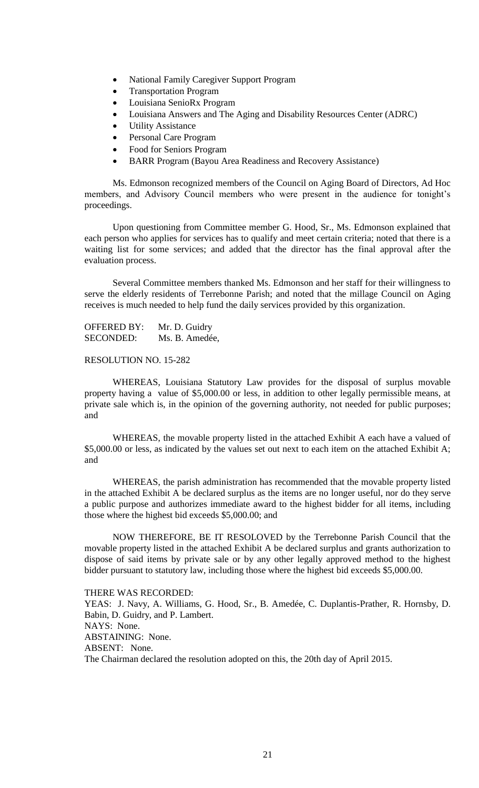- National Family Caregiver Support Program
- Transportation Program
- Louisiana SenioRx Program
- Louisiana Answers and The Aging and Disability Resources Center (ADRC)
- Utility Assistance
- Personal Care Program
- Food for Seniors Program
- BARR Program (Bayou Area Readiness and Recovery Assistance)

Ms. Edmonson recognized members of the Council on Aging Board of Directors, Ad Hoc members, and Advisory Council members who were present in the audience for tonight's proceedings.

Upon questioning from Committee member G. Hood, Sr., Ms. Edmonson explained that each person who applies for services has to qualify and meet certain criteria; noted that there is a waiting list for some services; and added that the director has the final approval after the evaluation process.

Several Committee members thanked Ms. Edmonson and her staff for their willingness to serve the elderly residents of Terrebonne Parish; and noted that the millage Council on Aging receives is much needed to help fund the daily services provided by this organization.

OFFERED BY: Mr. D. Guidry SECONDED: Ms. B. Amedée,

RESOLUTION NO. 15-282

WHEREAS, Louisiana Statutory Law provides for the disposal of surplus movable property having a value of \$5,000.00 or less, in addition to other legally permissible means, at private sale which is, in the opinion of the governing authority, not needed for public purposes; and

WHEREAS, the movable property listed in the attached Exhibit A each have a valued of \$5,000.00 or less, as indicated by the values set out next to each item on the attached Exhibit A; and

WHEREAS, the parish administration has recommended that the movable property listed in the attached Exhibit A be declared surplus as the items are no longer useful, nor do they serve a public purpose and authorizes immediate award to the highest bidder for all items, including those where the highest bid exceeds \$5,000.00; and

NOW THEREFORE, BE IT RESOLOVED by the Terrebonne Parish Council that the movable property listed in the attached Exhibit A be declared surplus and grants authorization to dispose of said items by private sale or by any other legally approved method to the highest bidder pursuant to statutory law, including those where the highest bid exceeds \$5,000.00.

THERE WAS RECORDED:

YEAS: J. Navy, A. Williams, G. Hood, Sr., B. Amedée, C. Duplantis-Prather, R. Hornsby, D. Babin, D. Guidry, and P. Lambert. NAYS: None. ABSTAINING: None. ABSENT: None. The Chairman declared the resolution adopted on this, the 20th day of April 2015.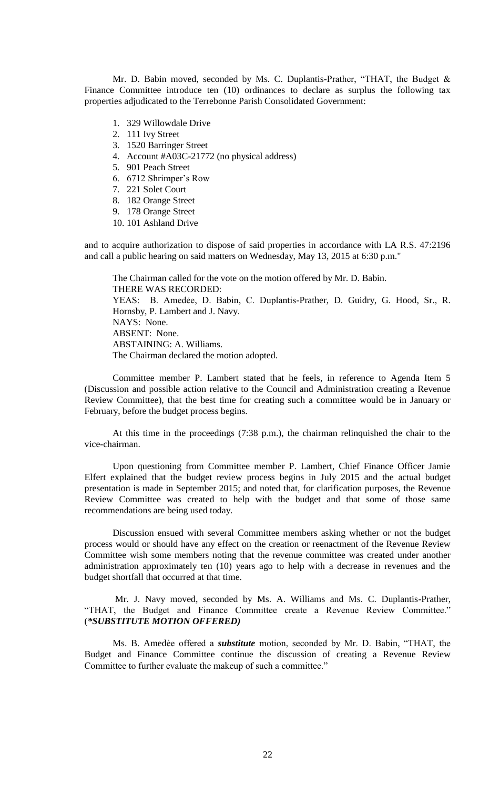Mr. D. Babin moved, seconded by Ms. C. Duplantis-Prather, "THAT, the Budget & Finance Committee introduce ten (10) ordinances to declare as surplus the following tax properties adjudicated to the Terrebonne Parish Consolidated Government:

- 1. 329 Willowdale Drive
- 2. 111 Ivy Street
- 3. 1520 Barringer Street
- 4. Account #A03C-21772 (no physical address)
- 5. 901 Peach Street
- 6. 6712 Shrimper's Row
- 7. 221 Solet Court
- 8. 182 Orange Street
- 9. 178 Orange Street
- 10. 101 Ashland Drive

and to acquire authorization to dispose of said properties in accordance with LA R.S. 47:2196 and call a public hearing on said matters on Wednesday, May 13, 2015 at 6:30 p.m."

The Chairman called for the vote on the motion offered by Mr. D. Babin. THERE WAS RECORDED: YEAS: B. Amedẻe, D. Babin, C. Duplantis-Prather, D. Guidry, G. Hood, Sr., R. Hornsby, P. Lambert and J. Navy. NAYS: None. ABSENT: None. ABSTAINING: A. Williams. The Chairman declared the motion adopted.

Committee member P. Lambert stated that he feels, in reference to Agenda Item 5 (Discussion and possible action relative to the Council and Administration creating a Revenue Review Committee), that the best time for creating such a committee would be in January or February, before the budget process begins.

At this time in the proceedings (7:38 p.m.), the chairman relinquished the chair to the vice-chairman.

Upon questioning from Committee member P. Lambert, Chief Finance Officer Jamie Elfert explained that the budget review process begins in July 2015 and the actual budget presentation is made in September 2015; and noted that, for clarification purposes, the Revenue Review Committee was created to help with the budget and that some of those same recommendations are being used today.

Discussion ensued with several Committee members asking whether or not the budget process would or should have any effect on the creation or reenactment of the Revenue Review Committee wish some members noting that the revenue committee was created under another administration approximately ten (10) years ago to help with a decrease in revenues and the budget shortfall that occurred at that time.

Mr. J. Navy moved, seconded by Ms. A. Williams and Ms. C. Duplantis-Prather, "THAT, the Budget and Finance Committee create a Revenue Review Committee." (*\*SUBSTITUTE MOTION OFFERED)*

Ms. B. Amedѐe offered a *substitute* motion, seconded by Mr. D. Babin, "THAT, the Budget and Finance Committee continue the discussion of creating a Revenue Review Committee to further evaluate the makeup of such a committee."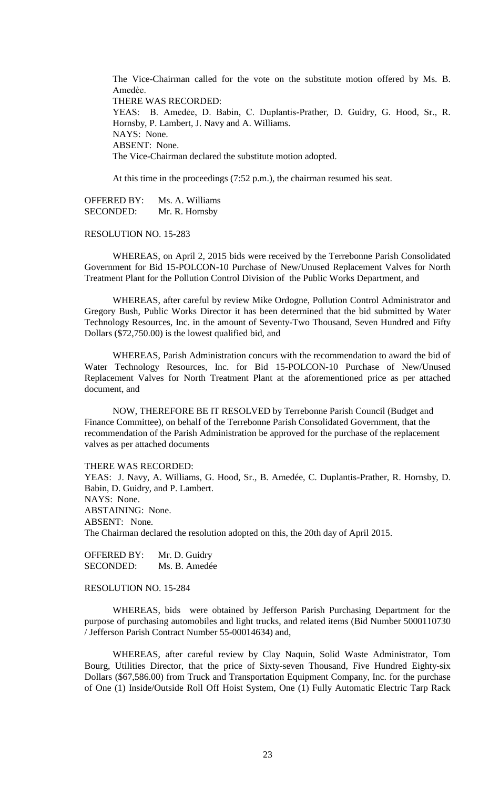The Vice-Chairman called for the vote on the substitute motion offered by Ms. B. Amedѐe. THERE WAS RECORDED: YEAS: B. Amedẻe, D. Babin, C. Duplantis-Prather, D. Guidry, G. Hood, Sr., R. Hornsby, P. Lambert, J. Navy and A. Williams. NAYS: None. ABSENT: None. The Vice-Chairman declared the substitute motion adopted.

At this time in the proceedings (7:52 p.m.), the chairman resumed his seat.

OFFERED BY: Ms. A. Williams SECONDED: Mr. R. Hornsby

#### RESOLUTION NO. 15-283

WHEREAS, on April 2, 2015 bids were received by the Terrebonne Parish Consolidated Government for Bid 15-POLCON-10 Purchase of New/Unused Replacement Valves for North Treatment Plant for the Pollution Control Division of the Public Works Department, and

WHEREAS, after careful by review Mike Ordogne, Pollution Control Administrator and Gregory Bush, Public Works Director it has been determined that the bid submitted by Water Technology Resources, Inc. in the amount of Seventy-Two Thousand, Seven Hundred and Fifty Dollars (\$72,750.00) is the lowest qualified bid, and

WHEREAS, Parish Administration concurs with the recommendation to award the bid of Water Technology Resources, Inc. for Bid 15-POLCON-10 Purchase of New/Unused Replacement Valves for North Treatment Plant at the aforementioned price as per attached document, and

NOW, THEREFORE BE IT RESOLVED by Terrebonne Parish Council (Budget and Finance Committee), on behalf of the Terrebonne Parish Consolidated Government, that the recommendation of the Parish Administration be approved for the purchase of the replacement valves as per attached documents

THERE WAS RECORDED:

YEAS: J. Navy, A. Williams, G. Hood, Sr., B. Amedée, C. Duplantis-Prather, R. Hornsby, D. Babin, D. Guidry, and P. Lambert. NAYS: None. ABSTAINING: None. ABSENT: None. The Chairman declared the resolution adopted on this, the 20th day of April 2015.

OFFERED BY: Mr. D. Guidry SECONDED: Ms. B. Amedée

## RESOLUTION NO. 15-284

WHEREAS, bids were obtained by Jefferson Parish Purchasing Department for the purpose of purchasing automobiles and light trucks, and related items (Bid Number 5000110730 / Jefferson Parish Contract Number 55-00014634) and,

WHEREAS, after careful review by Clay Naquin, Solid Waste Administrator, Tom Bourg, Utilities Director, that the price of Sixty-seven Thousand, Five Hundred Eighty-six Dollars (\$67,586.00) from Truck and Transportation Equipment Company, Inc. for the purchase of One (1) Inside/Outside Roll Off Hoist System, One (1) Fully Automatic Electric Tarp Rack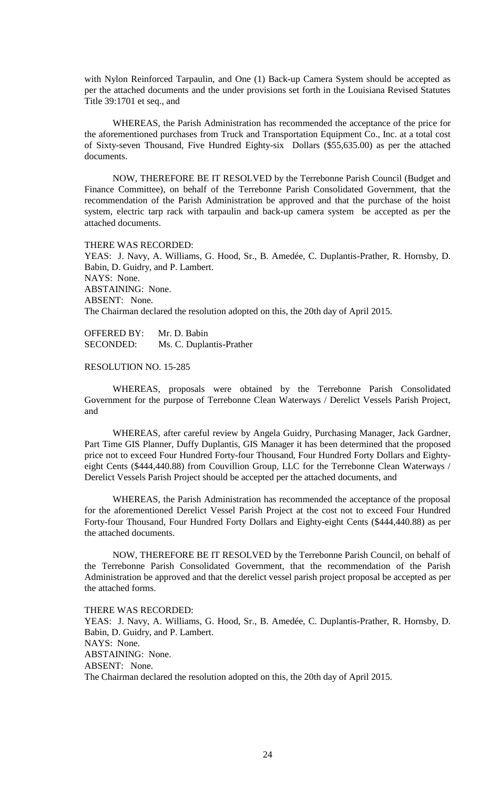with Nylon Reinforced Tarpaulin, and One (1) Back-up Camera System should be accepted as per the attached documents and the under provisions set forth in the Louisiana Revised Statutes Title 39:1701 et seq., and

WHEREAS, the Parish Administration has recommended the acceptance of the price for the aforementioned purchases from Truck and Transportation Equipment Co., Inc. at a total cost of Sixty-seven Thousand, Five Hundred Eighty-six Dollars (\$55,635.00) as per the attached documents.

NOW, THEREFORE BE IT RESOLVED by the Terrebonne Parish Council (Budget and Finance Committee), on behalf of the Terrebonne Parish Consolidated Government, that the recommendation of the Parish Administration be approved and that the purchase of the hoist system, electric tarp rack with tarpaulin and back-up camera system be accepted as per the attached documents.

THERE WAS RECORDED: YEAS: J. Navy, A. Williams, G. Hood, Sr., B. Amedée, C. Duplantis-Prather, R. Hornsby, D. Babin, D. Guidry, and P. Lambert. NAYS: None. ABSTAINING: None. ABSENT: None. The Chairman declared the resolution adopted on this, the 20th day of April 2015.

OFFERED BY: Mr. D. Babin SECONDED: Ms. C. Duplantis-Prather

RESOLUTION NO. 15-285

WHEREAS, proposals were obtained by the Terrebonne Parish Consolidated Government for the purpose of Terrebonne Clean Waterways / Derelict Vessels Parish Project, and

WHEREAS, after careful review by Angela Guidry, Purchasing Manager, Jack Gardner, Part Time GIS Planner, Duffy Duplantis, GIS Manager it has been determined that the proposed price not to exceed Four Hundred Forty-four Thousand, Four Hundred Forty Dollars and Eightyeight Cents (\$444,440.88) from Couvillion Group, LLC for the Terrebonne Clean Waterways / Derelict Vessels Parish Project should be accepted per the attached documents, and

WHEREAS, the Parish Administration has recommended the acceptance of the proposal for the aforementioned Derelict Vessel Parish Project at the cost not to exceed Four Hundred Forty-four Thousand, Four Hundred Forty Dollars and Eighty-eight Cents (\$444,440.88) as per the attached documents.

NOW, THEREFORE BE IT RESOLVED by the Terrebonne Parish Council, on behalf of the Terrebonne Parish Consolidated Government, that the recommendation of the Parish Administration be approved and that the derelict vessel parish project proposal be accepted as per the attached forms.

THERE WAS RECORDED: YEAS: J. Navy, A. Williams, G. Hood, Sr., B. Amedée, C. Duplantis-Prather, R. Hornsby, D. Babin, D. Guidry, and P. Lambert. NAYS: None. ABSTAINING: None. ABSENT: None. The Chairman declared the resolution adopted on this, the 20th day of April 2015.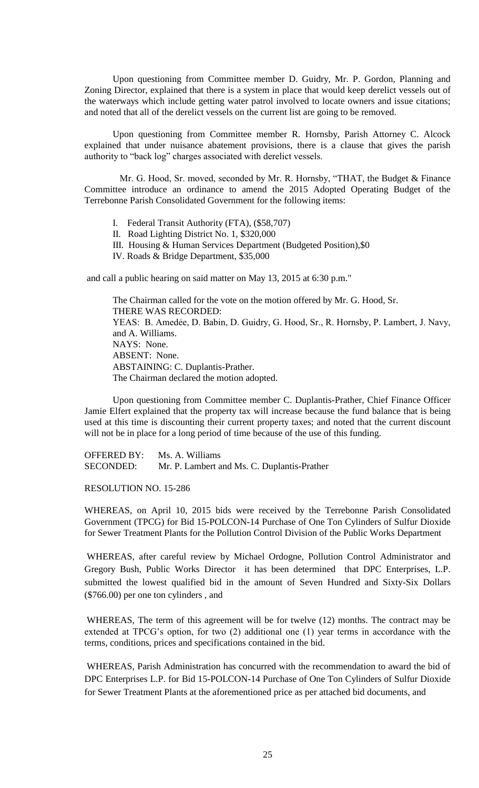Upon questioning from Committee member D. Guidry, Mr. P. Gordon, Planning and Zoning Director, explained that there is a system in place that would keep derelict vessels out of the waterways which include getting water patrol involved to locate owners and issue citations; and noted that all of the derelict vessels on the current list are going to be removed.

Upon questioning from Committee member R. Hornsby, Parish Attorney C. Alcock explained that under nuisance abatement provisions, there is a clause that gives the parish authority to "back log" charges associated with derelict vessels.

 Mr. G. Hood, Sr. moved, seconded by Mr. R. Hornsby, "THAT, the Budget & Finance Committee introduce an ordinance to amend the 2015 Adopted Operating Budget of the Terrebonne Parish Consolidated Government for the following items:

- I. Federal Transit Authority (FTA), (\$58,707)
- II. Road Lighting District No. 1, \$320,000
- III. Housing & Human Services Department (Budgeted Position),\$0
- IV. Roads & Bridge Department, \$35,000

and call a public hearing on said matter on May 13, 2015 at 6:30 p.m."

The Chairman called for the vote on the motion offered by Mr. G. Hood, Sr. THERE WAS RECORDED: YEAS: B. Amedẻe, D. Babin, D. Guidry, G. Hood, Sr., R. Hornsby, P. Lambert, J. Navy, and A. Williams. NAYS: None. ABSENT: None. ABSTAINING: C. Duplantis-Prather. The Chairman declared the motion adopted.

Upon questioning from Committee member C. Duplantis-Prather, Chief Finance Officer Jamie Elfert explained that the property tax will increase because the fund balance that is being used at this time is discounting their current property taxes; and noted that the current discount will not be in place for a long period of time because of the use of this funding.

OFFERED BY: Ms. A. Williams SECONDED: Mr. P. Lambert and Ms. C. Duplantis-Prather

RESOLUTION NO. 15-286

WHEREAS, on April 10, 2015 bids were received by the Terrebonne Parish Consolidated Government (TPCG) for Bid 15-POLCON-14 Purchase of One Ton Cylinders of Sulfur Dioxide for Sewer Treatment Plants for the Pollution Control Division of the Public Works Department

WHEREAS, after careful review by Michael Ordogne, Pollution Control Administrator and Gregory Bush, Public Works Director it has been determined that DPC Enterprises, L.P. submitted the lowest qualified bid in the amount of Seven Hundred and Sixty-Six Dollars (\$766.00) per one ton cylinders , and

WHEREAS, The term of this agreement will be for twelve (12) months. The contract may be extended at TPCG's option, for two (2) additional one (1) year terms in accordance with the terms, conditions, prices and specifications contained in the bid.

WHEREAS, Parish Administration has concurred with the recommendation to award the bid of DPC Enterprises L.P. for Bid 15-POLCON-14 Purchase of One Ton Cylinders of Sulfur Dioxide for Sewer Treatment Plants at the aforementioned price as per attached bid documents, and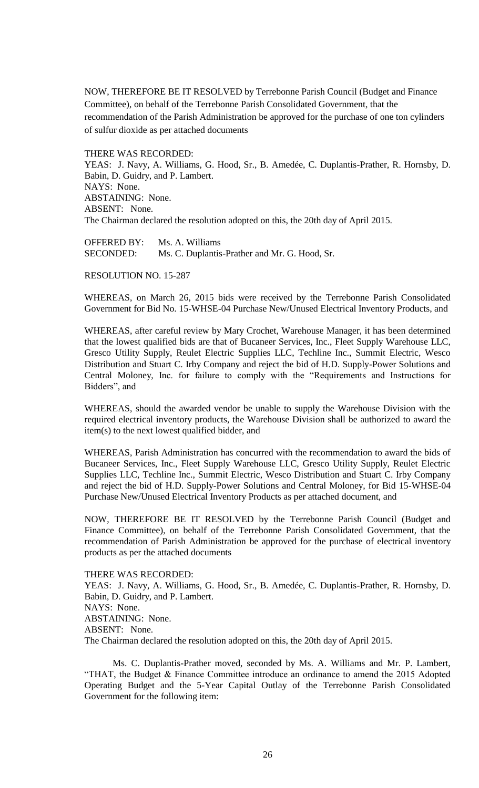NOW, THEREFORE BE IT RESOLVED by Terrebonne Parish Council (Budget and Finance Committee), on behalf of the Terrebonne Parish Consolidated Government, that the recommendation of the Parish Administration be approved for the purchase of one ton cylinders of sulfur dioxide as per attached documents

THERE WAS RECORDED:

YEAS: J. Navy, A. Williams, G. Hood, Sr., B. Amedée, C. Duplantis-Prather, R. Hornsby, D. Babin, D. Guidry, and P. Lambert. NAYS: None. ABSTAINING: None. ABSENT: None. The Chairman declared the resolution adopted on this, the 20th day of April 2015.

OFFERED BY: Ms. A. Williams SECONDED: Ms. C. Duplantis-Prather and Mr. G. Hood, Sr.

RESOLUTION NO. 15-287

WHEREAS, on March 26, 2015 bids were received by the Terrebonne Parish Consolidated Government for Bid No. 15-WHSE-04 Purchase New/Unused Electrical Inventory Products, and

WHEREAS, after careful review by Mary Crochet, Warehouse Manager, it has been determined that the lowest qualified bids are that of Bucaneer Services, Inc., Fleet Supply Warehouse LLC, Gresco Utility Supply, Reulet Electric Supplies LLC, Techline Inc., Summit Electric, Wesco Distribution and Stuart C. Irby Company and reject the bid of H.D. Supply-Power Solutions and Central Moloney, Inc. for failure to comply with the "Requirements and Instructions for Bidders", and

WHEREAS, should the awarded vendor be unable to supply the Warehouse Division with the required electrical inventory products, the Warehouse Division shall be authorized to award the item(s) to the next lowest qualified bidder, and

WHEREAS, Parish Administration has concurred with the recommendation to award the bids of Bucaneer Services, Inc., Fleet Supply Warehouse LLC, Gresco Utility Supply, Reulet Electric Supplies LLC, Techline Inc., Summit Electric, Wesco Distribution and Stuart C. Irby Company and reject the bid of H.D. Supply-Power Solutions and Central Moloney, for Bid 15-WHSE-04 Purchase New/Unused Electrical Inventory Products as per attached document, and

NOW, THEREFORE BE IT RESOLVED by the Terrebonne Parish Council (Budget and Finance Committee), on behalf of the Terrebonne Parish Consolidated Government, that the recommendation of Parish Administration be approved for the purchase of electrical inventory products as per the attached documents

THERE WAS RECORDED: YEAS: J. Navy, A. Williams, G. Hood, Sr., B. Amedée, C. Duplantis-Prather, R. Hornsby, D. Babin, D. Guidry, and P. Lambert. NAYS: None. ABSTAINING: None. ABSENT: None. The Chairman declared the resolution adopted on this, the 20th day of April 2015.

Ms. C. Duplantis-Prather moved, seconded by Ms. A. Williams and Mr. P. Lambert, "THAT, the Budget & Finance Committee introduce an ordinance to amend the 2015 Adopted Operating Budget and the 5-Year Capital Outlay of the Terrebonne Parish Consolidated Government for the following item: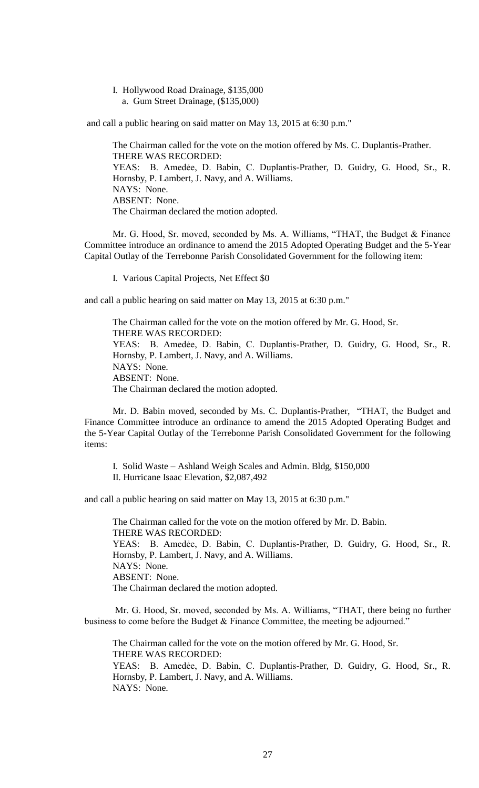I. Hollywood Road Drainage, \$135,000 a. Gum Street Drainage, (\$135,000)

and call a public hearing on said matter on May 13, 2015 at 6:30 p.m."

The Chairman called for the vote on the motion offered by Ms. C. Duplantis-Prather. THERE WAS RECORDED: YEAS: B. Amedẻe, D. Babin, C. Duplantis-Prather, D. Guidry, G. Hood, Sr., R. Hornsby, P. Lambert, J. Navy, and A. Williams. NAYS: None. ABSENT: None. The Chairman declared the motion adopted.

Mr. G. Hood, Sr. moved, seconded by Ms. A. Williams, "THAT, the Budget & Finance Committee introduce an ordinance to amend the 2015 Adopted Operating Budget and the 5-Year Capital Outlay of the Terrebonne Parish Consolidated Government for the following item:

I. Various Capital Projects, Net Effect \$0

and call a public hearing on said matter on May 13, 2015 at 6:30 p.m."

The Chairman called for the vote on the motion offered by Mr. G. Hood, Sr. THERE WAS RECORDED: YEAS: B. Amedẻe, D. Babin, C. Duplantis-Prather, D. Guidry, G. Hood, Sr., R. Hornsby, P. Lambert, J. Navy, and A. Williams. NAYS: None. ABSENT: None. The Chairman declared the motion adopted.

Mr. D. Babin moved, seconded by Ms. C. Duplantis-Prather, "THAT, the Budget and Finance Committee introduce an ordinance to amend the 2015 Adopted Operating Budget and the 5-Year Capital Outlay of the Terrebonne Parish Consolidated Government for the following items:

I. Solid Waste – Ashland Weigh Scales and Admin. Bldg, \$150,000

II. Hurricane Isaac Elevation, \$2,087,492

and call a public hearing on said matter on May 13, 2015 at 6:30 p.m."

The Chairman called for the vote on the motion offered by Mr. D. Babin. THERE WAS RECORDED: YEAS: B. Amedẻe, D. Babin, C. Duplantis-Prather, D. Guidry, G. Hood, Sr., R. Hornsby, P. Lambert, J. Navy, and A. Williams. NAYS: None. ABSENT: None. The Chairman declared the motion adopted.

Mr. G. Hood, Sr. moved, seconded by Ms. A. Williams, "THAT, there being no further business to come before the Budget & Finance Committee, the meeting be adjourned."

The Chairman called for the vote on the motion offered by Mr. G. Hood, Sr. THERE WAS RECORDED: YEAS: B. Amedẻe, D. Babin, C. Duplantis-Prather, D. Guidry, G. Hood, Sr., R. Hornsby, P. Lambert, J. Navy, and A. Williams.

NAYS: None.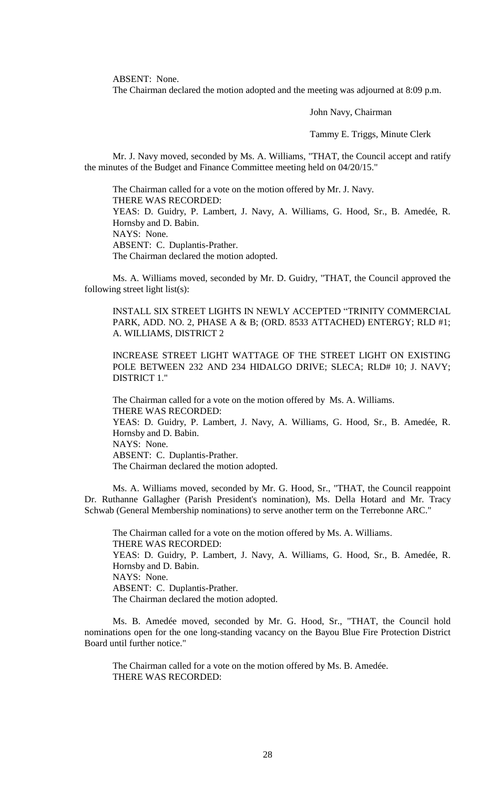ABSENT: None.

The Chairman declared the motion adopted and the meeting was adjourned at 8:09 p.m.

John Navy, Chairman

Tammy E. Triggs, Minute Clerk

Mr. J. Navy moved, seconded by Ms. A. Williams, "THAT, the Council accept and ratify the minutes of the Budget and Finance Committee meeting held on 04/20/15."

The Chairman called for a vote on the motion offered by Mr. J. Navy. THERE WAS RECORDED: YEAS: D. Guidry, P. Lambert, J. Navy, A. Williams, G. Hood, Sr., B. Amedée, R. Hornsby and D. Babin. NAYS: None. ABSENT: C. Duplantis-Prather. The Chairman declared the motion adopted.

Ms. A. Williams moved, seconded by Mr. D. Guidry, "THAT, the Council approved the following street light list(s):

INSTALL SIX STREET LIGHTS IN NEWLY ACCEPTED "TRINITY COMMERCIAL PARK, ADD. NO. 2, PHASE A & B; (ORD. 8533 ATTACHED) ENTERGY; RLD #1; A. WILLIAMS, DISTRICT 2

INCREASE STREET LIGHT WATTAGE OF THE STREET LIGHT ON EXISTING POLE BETWEEN 232 AND 234 HIDALGO DRIVE; SLECA; RLD# 10; J. NAVY; DISTRICT 1."

The Chairman called for a vote on the motion offered by Ms. A. Williams. THERE WAS RECORDED: YEAS: D. Guidry, P. Lambert, J. Navy, A. Williams, G. Hood, Sr., B. Amedée, R. Hornsby and D. Babin. NAYS: None. ABSENT: C. Duplantis-Prather. The Chairman declared the motion adopted.

Ms. A. Williams moved, seconded by Mr. G. Hood, Sr., "THAT, the Council reappoint Dr. Ruthanne Gallagher (Parish President's nomination), Ms. Della Hotard and Mr. Tracy Schwab (General Membership nominations) to serve another term on the Terrebonne ARC."

The Chairman called for a vote on the motion offered by Ms. A. Williams. THERE WAS RECORDED: YEAS: D. Guidry, P. Lambert, J. Navy, A. Williams, G. Hood, Sr., B. Amedée, R. Hornsby and D. Babin. NAYS: None. ABSENT: C. Duplantis-Prather. The Chairman declared the motion adopted.

Ms. B. Amedée moved, seconded by Mr. G. Hood, Sr., "THAT, the Council hold nominations open for the one long-standing vacancy on the Bayou Blue Fire Protection District Board until further notice."

The Chairman called for a vote on the motion offered by Ms. B. Amedée. THERE WAS RECORDED: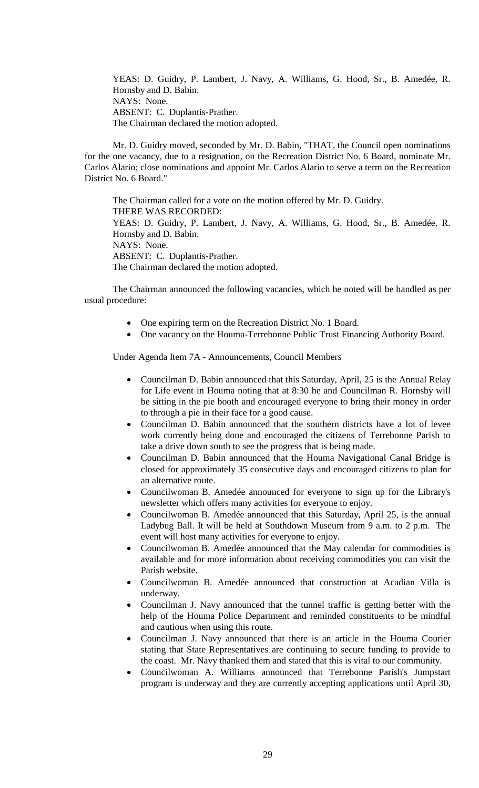YEAS: D. Guidry, P. Lambert, J. Navy, A. Williams, G. Hood, Sr., B. Amedée, R. Hornsby and D. Babin. NAYS: None. ABSENT: C. Duplantis-Prather. The Chairman declared the motion adopted.

Mr. D. Guidry moved, seconded by Mr. D. Babin, "THAT, the Council open nominations for the one vacancy, due to a resignation, on the Recreation District No. 6 Board, nominate Mr. Carlos Alario; close nominations and appoint Mr. Carlos Alario to serve a term on the Recreation District No. 6 Board."

The Chairman called for a vote on the motion offered by Mr. D. Guidry. THERE WAS RECORDED: YEAS: D. Guidry, P. Lambert, J. Navy, A. Williams, G. Hood, Sr., B. Amedée, R. Hornsby and D. Babin. NAYS: None. ABSENT: C. Duplantis-Prather. The Chairman declared the motion adopted.

The Chairman announced the following vacancies, which he noted will be handled as per usual procedure:

- One expiring term on the Recreation District No. 1 Board.
- One vacancy on the Houma-Terrebonne Public Trust Financing Authority Board.

Under Agenda Item 7A - Announcements, Council Members

- Councilman D. Babin announced that this Saturday, April, 25 is the Annual Relay for Life event in Houma noting that at 8:30 he and Councilman R. Hornsby will be sitting in the pie booth and encouraged everyone to bring their money in order to through a pie in their face for a good cause.
- Councilman D. Babin announced that the southern districts have a lot of levee work currently being done and encouraged the citizens of Terrebonne Parish to take a drive down south to see the progress that is being made.
- Councilman D. Babin announced that the Houma Navigational Canal Bridge is closed for approximately 35 consecutive days and encouraged citizens to plan for an alternative route.
- Councilwoman B. Amedée announced for everyone to sign up for the Library's newsletter which offers many activities for everyone to enjoy.
- Councilwoman B. Amedée announced that this Saturday, April 25, is the annual Ladybug Ball. It will be held at Southdown Museum from 9 a.m. to 2 p.m. The event will host many activities for everyone to enjoy.
- Councilwoman B. Amedée announced that the May calendar for commodities is available and for more information about receiving commodities you can visit the Parish website.
- Councilwoman B. Amedée announced that construction at Acadian Villa is underway.
- Councilman J. Navy announced that the tunnel traffic is getting better with the help of the Houma Police Department and reminded constituents to be mindful and cautious when using this route.
- Councilman J. Navy announced that there is an article in the Houma Courier stating that State Representatives are continuing to secure funding to provide to the coast. Mr. Navy thanked them and stated that this is vital to our community.
- Councilwoman A. Williams announced that Terrebonne Parish's Jumpstart program is underway and they are currently accepting applications until April 30,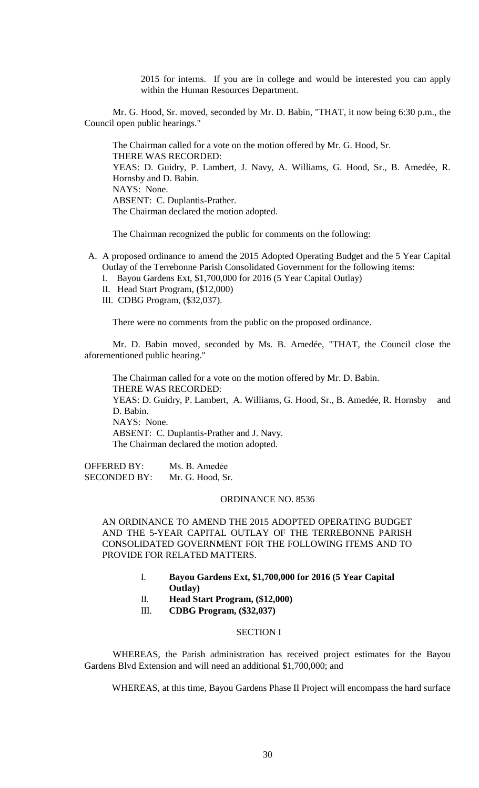2015 for interns. If you are in college and would be interested you can apply within the Human Resources Department.

Mr. G. Hood, Sr. moved, seconded by Mr. D. Babin, "THAT, it now being 6:30 p.m., the Council open public hearings."

The Chairman called for a vote on the motion offered by Mr. G. Hood, Sr. THERE WAS RECORDED: YEAS: D. Guidry, P. Lambert, J. Navy, A. Williams, G. Hood, Sr., B. Amedée, R. Hornsby and D. Babin. NAYS: None. ABSENT: C. Duplantis-Prather. The Chairman declared the motion adopted.

The Chairman recognized the public for comments on the following:

- A. A proposed ordinance to amend the 2015 Adopted Operating Budget and the 5 Year Capital Outlay of the Terrebonne Parish Consolidated Government for the following items:
	- I. Bayou Gardens Ext, \$1,700,000 for 2016 (5 Year Capital Outlay)
	- II. Head Start Program, (\$12,000)
	- III. CDBG Program, (\$32,037).

There were no comments from the public on the proposed ordinance.

Mr. D. Babin moved, seconded by Ms. B. Amedée, "THAT, the Council close the aforementioned public hearing."

The Chairman called for a vote on the motion offered by Mr. D. Babin. THERE WAS RECORDED: YEAS: D. Guidry, P. Lambert, A. Williams, G. Hood, Sr., B. Amedée, R. Hornsby and D. Babin. NAYS: None. ABSENT: C. Duplantis-Prather and J. Navy. The Chairman declared the motion adopted.

OFFERED BY: Ms. B. Amedẻe SECONDED BY: Mr. G. Hood, Sr.

### ORDINANCE NO. 8536

AN ORDINANCE TO AMEND THE 2015 ADOPTED OPERATING BUDGET AND THE 5-YEAR CAPITAL OUTLAY OF THE TERREBONNE PARISH CONSOLIDATED GOVERNMENT FOR THE FOLLOWING ITEMS AND TO PROVIDE FOR RELATED MATTERS.

- I. **Bayou Gardens Ext, \$1,700,000 for 2016 (5 Year Capital Outlay)**
- II. **Head Start Program, (\$12,000)**
- III. **CDBG Program, (\$32,037)**

## SECTION I

WHEREAS, the Parish administration has received project estimates for the Bayou Gardens Blvd Extension and will need an additional \$1,700,000; and

WHEREAS, at this time, Bayou Gardens Phase II Project will encompass the hard surface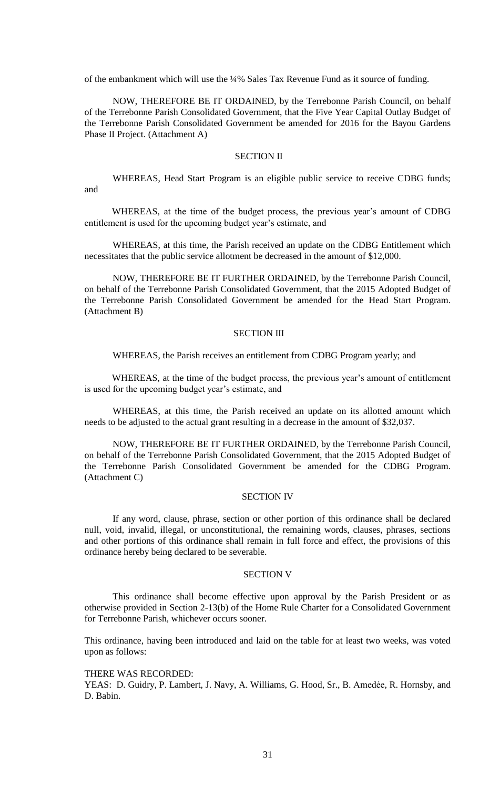of the embankment which will use the ¼% Sales Tax Revenue Fund as it source of funding.

NOW, THEREFORE BE IT ORDAINED, by the Terrebonne Parish Council, on behalf of the Terrebonne Parish Consolidated Government, that the Five Year Capital Outlay Budget of the Terrebonne Parish Consolidated Government be amended for 2016 for the Bayou Gardens Phase II Project. (Attachment A)

## SECTION II

WHEREAS, Head Start Program is an eligible public service to receive CDBG funds; and

WHEREAS, at the time of the budget process, the previous year's amount of CDBG entitlement is used for the upcoming budget year's estimate, and

WHEREAS, at this time, the Parish received an update on the CDBG Entitlement which necessitates that the public service allotment be decreased in the amount of \$12,000.

NOW, THEREFORE BE IT FURTHER ORDAINED, by the Terrebonne Parish Council, on behalf of the Terrebonne Parish Consolidated Government, that the 2015 Adopted Budget of the Terrebonne Parish Consolidated Government be amended for the Head Start Program. (Attachment B)

### SECTION III

WHEREAS, the Parish receives an entitlement from CDBG Program yearly; and

WHEREAS, at the time of the budget process, the previous year's amount of entitlement is used for the upcoming budget year's estimate, and

WHEREAS, at this time, the Parish received an update on its allotted amount which needs to be adjusted to the actual grant resulting in a decrease in the amount of \$32,037.

NOW, THEREFORE BE IT FURTHER ORDAINED, by the Terrebonne Parish Council, on behalf of the Terrebonne Parish Consolidated Government, that the 2015 Adopted Budget of the Terrebonne Parish Consolidated Government be amended for the CDBG Program. (Attachment C)

## SECTION IV

If any word, clause, phrase, section or other portion of this ordinance shall be declared null, void, invalid, illegal, or unconstitutional, the remaining words, clauses, phrases, sections and other portions of this ordinance shall remain in full force and effect, the provisions of this ordinance hereby being declared to be severable.

#### SECTION V

This ordinance shall become effective upon approval by the Parish President or as otherwise provided in Section 2-13(b) of the Home Rule Charter for a Consolidated Government for Terrebonne Parish, whichever occurs sooner.

This ordinance, having been introduced and laid on the table for at least two weeks, was voted upon as follows:

### THERE WAS RECORDED:

YEAS: D. Guidry, P. Lambert, J. Navy, A. Williams, G. Hood, Sr., B. Amedėe, R. Hornsby, and D. Babin.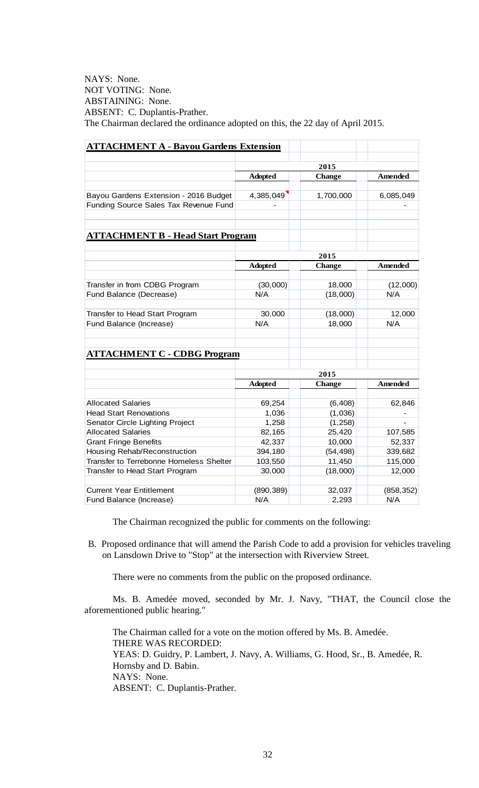NAYS: None. NOT VOTING: None. ABSTAINING: None. ABSENT: C. Duplantis-Prather. The Chairman declared the ordinance adopted on this, the 22 day of April 2015.

| <b>ATTACHMENT A - Bayou Gardens Extension</b> |                |               |                |  |
|-----------------------------------------------|----------------|---------------|----------------|--|
|                                               |                | 2015          |                |  |
|                                               | <b>Adopted</b> | <b>Change</b> | <b>Amended</b> |  |
|                                               |                |               |                |  |
| Bayou Gardens Extension - 2016 Budget         | 4,385,049      | 1,700,000     | 6,085,049      |  |
| Funding Source Sales Tax Revenue Fund         |                |               |                |  |
| <b>ATTACHMENT B - Head Start Program</b>      |                |               |                |  |
|                                               | 2015           |               |                |  |
|                                               | <b>Adopted</b> | <b>Change</b> | <b>Amended</b> |  |
|                                               |                |               |                |  |
| Transfer in from CDBG Program                 | (30,000)       | 18,000        | (12,000)       |  |
| Fund Balance (Decrease)                       | N/A            | (18,000)      | N/A            |  |
| Transfer to Head Start Program                | 30,000         | (18,000)      | 12,000         |  |
| Fund Balance (Increase)                       | N/A            | 18,000        | N/A            |  |
| <b>ATTACHMENT C - CDBG Program</b>            |                |               |                |  |
|                                               | 2015           |               |                |  |
|                                               | <b>Adopted</b> | <b>Change</b> | <b>Amended</b> |  |
| <b>Allocated Salaries</b>                     | 69,254         | (6, 408)      | 62,846         |  |
| <b>Head Start Renovations</b>                 | 1,036          | (1,036)       |                |  |
| Senator Circle Lighting Project               | 1,258          | (1, 258)      |                |  |
| <b>Allocated Salaries</b>                     | 82,165         | 25,420        | 107,585        |  |
| <b>Grant Fringe Benefits</b>                  | 42,337         | 10,000        | 52,337         |  |
| Housing Rehab/Reconstruction                  | 394,180        | (54, 498)     | 339,682        |  |
| Transfer to Terrebonne Homeless Shelter       | 103,550        | 11,450        | 115,000        |  |
| Transfer to Head Start Program                | 30,000         | (18,000)      | 12,000         |  |
|                                               |                |               |                |  |
| <b>Current Year Entitlement</b>               | (890, 389)     | 32,037        | (858, 352)     |  |
| Fund Balance (Increase)                       | N/A            | 2,293         | N/A            |  |

The Chairman recognized the public for comments on the following:

B. Proposed ordinance that will amend the Parish Code to add a provision for vehicles traveling on Lansdown Drive to "Stop" at the intersection with Riverview Street.

There were no comments from the public on the proposed ordinance.

Ms. B. Amedée moved, seconded by Mr. J. Navy, "THAT, the Council close the aforementioned public hearing."

The Chairman called for a vote on the motion offered by Ms. B. Amedée. THERE WAS RECORDED: YEAS: D. Guidry, P. Lambert, J. Navy, A. Williams, G. Hood, Sr., B. Amedée, R. Hornsby and D. Babin. NAYS: None. ABSENT: C. Duplantis-Prather.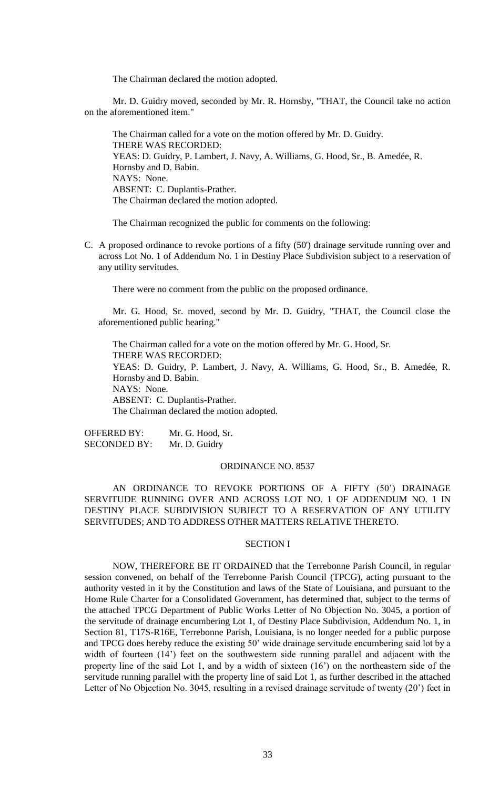The Chairman declared the motion adopted.

Mr. D. Guidry moved, seconded by Mr. R. Hornsby, "THAT, the Council take no action on the aforementioned item."

The Chairman called for a vote on the motion offered by Mr. D. Guidry. THERE WAS RECORDED: YEAS: D. Guidry, P. Lambert, J. Navy, A. Williams, G. Hood, Sr., B. Amedée, R. Hornsby and D. Babin. NAYS: None. ABSENT: C. Duplantis-Prather. The Chairman declared the motion adopted.

The Chairman recognized the public for comments on the following:

C. A proposed ordinance to revoke portions of a fifty (50') drainage servitude running over and across Lot No. 1 of Addendum No. 1 in Destiny Place Subdivision subject to a reservation of any utility servitudes.

There were no comment from the public on the proposed ordinance.

Mr. G. Hood, Sr. moved, second by Mr. D. Guidry, "THAT, the Council close the aforementioned public hearing."

The Chairman called for a vote on the motion offered by Mr. G. Hood, Sr. THERE WAS RECORDED: YEAS: D. Guidry, P. Lambert, J. Navy, A. Williams, G. Hood, Sr., B. Amedée, R. Hornsby and D. Babin. NAYS: None. ABSENT: C. Duplantis-Prather. The Chairman declared the motion adopted.

OFFERED BY: Mr. G. Hood, Sr. SECONDED BY: Mr. D. Guidry

## ORDINANCE NO. 8537

AN ORDINANCE TO REVOKE PORTIONS OF A FIFTY (50') DRAINAGE SERVITUDE RUNNING OVER AND ACROSS LOT NO. 1 OF ADDENDUM NO. 1 IN DESTINY PLACE SUBDIVISION SUBJECT TO A RESERVATION OF ANY UTILITY SERVITUDES; AND TO ADDRESS OTHER MATTERS RELATIVE THERETO.

## SECTION I

NOW, THEREFORE BE IT ORDAINED that the Terrebonne Parish Council, in regular session convened, on behalf of the Terrebonne Parish Council (TPCG), acting pursuant to the authority vested in it by the Constitution and laws of the State of Louisiana, and pursuant to the Home Rule Charter for a Consolidated Government, has determined that, subject to the terms of the attached TPCG Department of Public Works Letter of No Objection No. 3045, a portion of the servitude of drainage encumbering Lot 1, of Destiny Place Subdivision, Addendum No. 1, in Section 81, T17S-R16E, Terrebonne Parish, Louisiana, is no longer needed for a public purpose and TPCG does hereby reduce the existing 50' wide drainage servitude encumbering said lot by a width of fourteen (14') feet on the southwestern side running parallel and adjacent with the property line of the said Lot 1, and by a width of sixteen (16') on the northeastern side of the servitude running parallel with the property line of said Lot 1, as further described in the attached Letter of No Objection No. 3045, resulting in a revised drainage servitude of twenty (20') feet in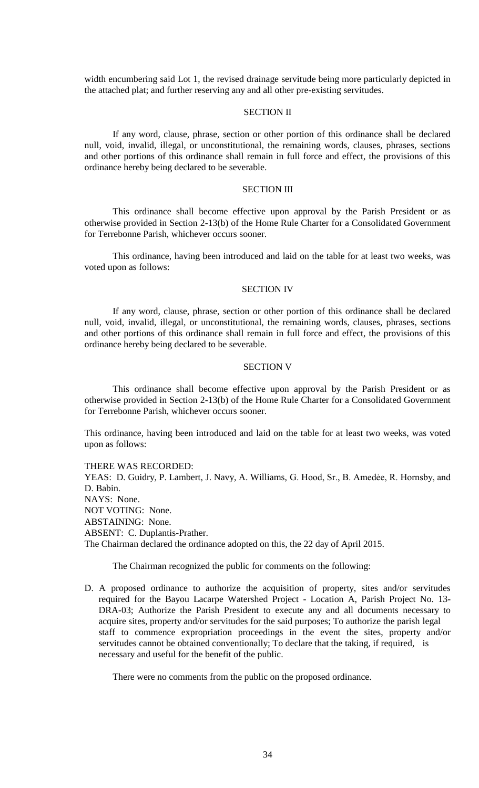width encumbering said Lot 1, the revised drainage servitude being more particularly depicted in the attached plat; and further reserving any and all other pre-existing servitudes.

## SECTION II

If any word, clause, phrase, section or other portion of this ordinance shall be declared null, void, invalid, illegal, or unconstitutional, the remaining words, clauses, phrases, sections and other portions of this ordinance shall remain in full force and effect, the provisions of this ordinance hereby being declared to be severable.

### SECTION III

This ordinance shall become effective upon approval by the Parish President or as otherwise provided in Section 2-13(b) of the Home Rule Charter for a Consolidated Government for Terrebonne Parish, whichever occurs sooner.

This ordinance, having been introduced and laid on the table for at least two weeks, was voted upon as follows:

### SECTION IV

If any word, clause, phrase, section or other portion of this ordinance shall be declared null, void, invalid, illegal, or unconstitutional, the remaining words, clauses, phrases, sections and other portions of this ordinance shall remain in full force and effect, the provisions of this ordinance hereby being declared to be severable.

### SECTION V

This ordinance shall become effective upon approval by the Parish President or as otherwise provided in Section 2-13(b) of the Home Rule Charter for a Consolidated Government for Terrebonne Parish, whichever occurs sooner.

This ordinance, having been introduced and laid on the table for at least two weeks, was voted upon as follows:

### THERE WAS RECORDED:

YEAS: D. Guidry, P. Lambert, J. Navy, A. Williams, G. Hood, Sr., B. Amedėe, R. Hornsby, and D. Babin. NAYS: None. NOT VOTING: None. ABSTAINING: None. ABSENT: C. Duplantis-Prather. The Chairman declared the ordinance adopted on this, the 22 day of April 2015.

The Chairman recognized the public for comments on the following:

D. A proposed ordinance to authorize the acquisition of property, sites and/or servitudes required for the Bayou Lacarpe Watershed Project - Location A, Parish Project No. 13- DRA-03; Authorize the Parish President to execute any and all documents necessary to acquire sites, property and/or servitudes for the said purposes; To authorize the parish legal staff to commence expropriation proceedings in the event the sites, property and/or servitudes cannot be obtained conventionally; To declare that the taking, if required, is necessary and useful for the benefit of the public.

There were no comments from the public on the proposed ordinance.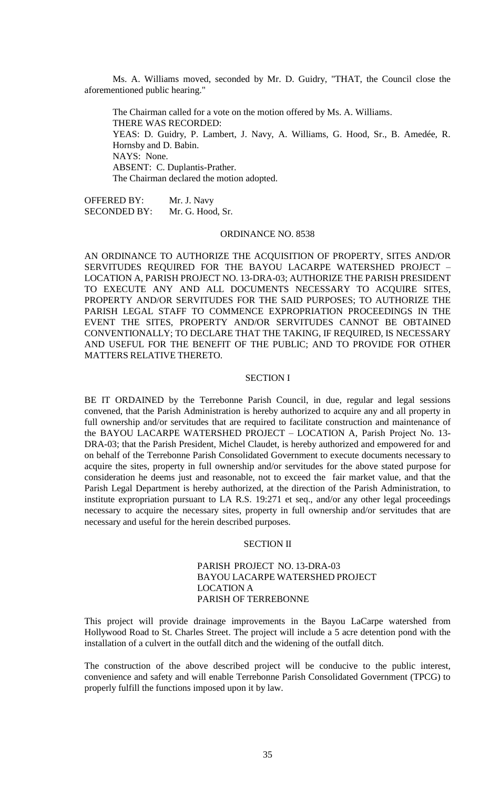Ms. A. Williams moved, seconded by Mr. D. Guidry, "THAT, the Council close the aforementioned public hearing."

The Chairman called for a vote on the motion offered by Ms. A. Williams. THERE WAS RECORDED: YEAS: D. Guidry, P. Lambert, J. Navy, A. Williams, G. Hood, Sr., B. Amedée, R. Hornsby and D. Babin. NAYS: None. ABSENT: C. Duplantis-Prather. The Chairman declared the motion adopted.

OFFERED BY: Mr. J. Navy SECONDED BY: Mr. G. Hood, Sr.

#### ORDINANCE NO. 8538

AN ORDINANCE TO AUTHORIZE THE ACQUISITION OF PROPERTY, SITES AND/OR SERVITUDES REQUIRED FOR THE BAYOU LACARPE WATERSHED PROJECT – LOCATION A, PARISH PROJECT NO. 13-DRA-03; AUTHORIZE THE PARISH PRESIDENT TO EXECUTE ANY AND ALL DOCUMENTS NECESSARY TO ACQUIRE SITES, PROPERTY AND/OR SERVITUDES FOR THE SAID PURPOSES; TO AUTHORIZE THE PARISH LEGAL STAFF TO COMMENCE EXPROPRIATION PROCEEDINGS IN THE EVENT THE SITES, PROPERTY AND/OR SERVITUDES CANNOT BE OBTAINED CONVENTIONALLY; TO DECLARE THAT THE TAKING, IF REQUIRED, IS NECESSARY AND USEFUL FOR THE BENEFIT OF THE PUBLIC; AND TO PROVIDE FOR OTHER MATTERS RELATIVE THERETO.

### SECTION I

BE IT ORDAINED by the Terrebonne Parish Council, in due, regular and legal sessions convened, that the Parish Administration is hereby authorized to acquire any and all property in full ownership and/or servitudes that are required to facilitate construction and maintenance of the BAYOU LACARPE WATERSHED PROJECT – LOCATION A, Parish Project No. 13- DRA-03; that the Parish President, Michel Claudet, is hereby authorized and empowered for and on behalf of the Terrebonne Parish Consolidated Government to execute documents necessary to acquire the sites, property in full ownership and/or servitudes for the above stated purpose for consideration he deems just and reasonable, not to exceed the fair market value, and that the Parish Legal Department is hereby authorized, at the direction of the Parish Administration, to institute expropriation pursuant to LA R.S. 19:271 et seq., and/or any other legal proceedings necessary to acquire the necessary sites, property in full ownership and/or servitudes that are necessary and useful for the herein described purposes.

### SECTION II

## PARISH PROJECT NO. 13-DRA-03 BAYOU LACARPE WATERSHED PROJECT LOCATION A PARISH OF TERREBONNE

This project will provide drainage improvements in the Bayou LaCarpe watershed from Hollywood Road to St. Charles Street. The project will include a 5 acre detention pond with the installation of a culvert in the outfall ditch and the widening of the outfall ditch.

The construction of the above described project will be conducive to the public interest, convenience and safety and will enable Terrebonne Parish Consolidated Government (TPCG) to properly fulfill the functions imposed upon it by law.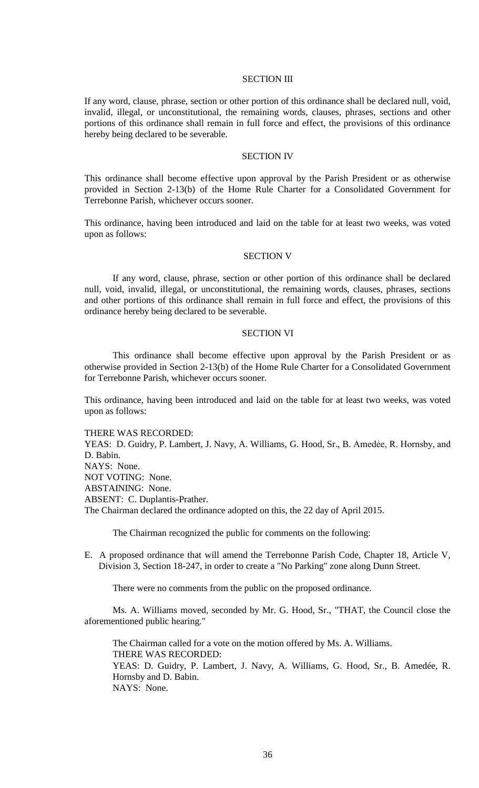### SECTION III

If any word, clause, phrase, section or other portion of this ordinance shall be declared null, void, invalid, illegal, or unconstitutional, the remaining words, clauses, phrases, sections and other portions of this ordinance shall remain in full force and effect, the provisions of this ordinance hereby being declared to be severable.

### SECTION IV

This ordinance shall become effective upon approval by the Parish President or as otherwise provided in Section 2-13(b) of the Home Rule Charter for a Consolidated Government for Terrebonne Parish, whichever occurs sooner.

This ordinance, having been introduced and laid on the table for at least two weeks, was voted upon as follows:

## SECTION V

If any word, clause, phrase, section or other portion of this ordinance shall be declared null, void, invalid, illegal, or unconstitutional, the remaining words, clauses, phrases, sections and other portions of this ordinance shall remain in full force and effect, the provisions of this ordinance hereby being declared to be severable.

#### SECTION VI

This ordinance shall become effective upon approval by the Parish President or as otherwise provided in Section 2-13(b) of the Home Rule Charter for a Consolidated Government for Terrebonne Parish, whichever occurs sooner.

This ordinance, having been introduced and laid on the table for at least two weeks, was voted upon as follows:

THERE WAS RECORDED:

YEAS: D. Guidry, P. Lambert, J. Navy, A. Williams, G. Hood, Sr., B. Amedėe, R. Hornsby, and D. Bahin NAYS: None. NOT VOTING: None. ABSTAINING: None. ABSENT: C. Duplantis-Prather. The Chairman declared the ordinance adopted on this, the 22 day of April 2015.

The Chairman recognized the public for comments on the following:

E. A proposed ordinance that will amend the Terrebonne Parish Code, Chapter 18, Article V, Division 3, Section 18-247, in order to create a "No Parking" zone along Dunn Street.

There were no comments from the public on the proposed ordinance.

Ms. A. Williams moved, seconded by Mr. G. Hood, Sr., "THAT, the Council close the aforementioned public hearing."

The Chairman called for a vote on the motion offered by Ms. A. Williams. THERE WAS RECORDED: YEAS: D. Guidry, P. Lambert, J. Navy, A. Williams, G. Hood, Sr., B. Amedée, R. Hornsby and D. Babin. NAYS: None.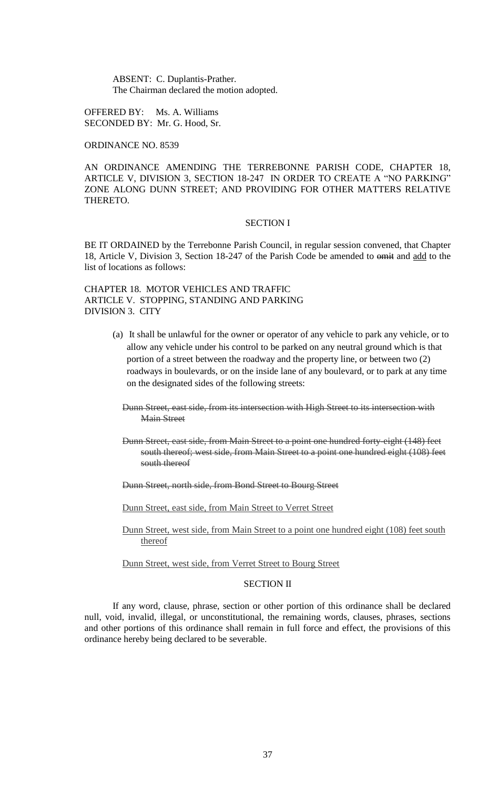ABSENT: C. Duplantis-Prather. The Chairman declared the motion adopted.

OFFERED BY: Ms. A. Williams SECONDED BY: Mr. G. Hood, Sr.

ORDINANCE NO. 8539

AN ORDINANCE AMENDING THE TERREBONNE PARISH CODE, CHAPTER 18, ARTICLE V, DIVISION 3, SECTION 18-247 IN ORDER TO CREATE A "NO PARKING" ZONE ALONG DUNN STREET; AND PROVIDING FOR OTHER MATTERS RELATIVE THERETO.

#### SECTION I

BE IT ORDAINED by the Terrebonne Parish Council, in regular session convened, that Chapter 18, Article V, Division 3, Section 18-247 of the Parish Code be amended to omit and add to the list of locations as follows:

CHAPTER 18. MOTOR VEHICLES AND TRAFFIC ARTICLE V. STOPPING, STANDING AND PARKING DIVISION 3. CITY

- (a) It shall be unlawful for the owner or operator of any vehicle to park any vehicle, or to allow any vehicle under his control to be parked on any neutral ground which is that portion of a street between the roadway and the property line, or between two (2) roadways in boulevards, or on the inside lane of any boulevard, or to park at any time on the designated sides of the following streets:
	- Dunn Street, east side, from its intersection with High Street to its intersection with Main Street
	- Dunn Street, east side, from Main Street to a point one hundred forty-eight (148) feet south thereof; west side, from Main Street to a point one hundred eight (108) feet south thereof
	- Dunn Street, north side, from Bond Street to Bourg Street

Dunn Street, east side, from Main Street to Verret Street

Dunn Street, west side, from Main Street to a point one hundred eight (108) feet south thereof

Dunn Street, west side, from Verret Street to Bourg Street

## SECTION II

If any word, clause, phrase, section or other portion of this ordinance shall be declared null, void, invalid, illegal, or unconstitutional, the remaining words, clauses, phrases, sections and other portions of this ordinance shall remain in full force and effect, the provisions of this ordinance hereby being declared to be severable.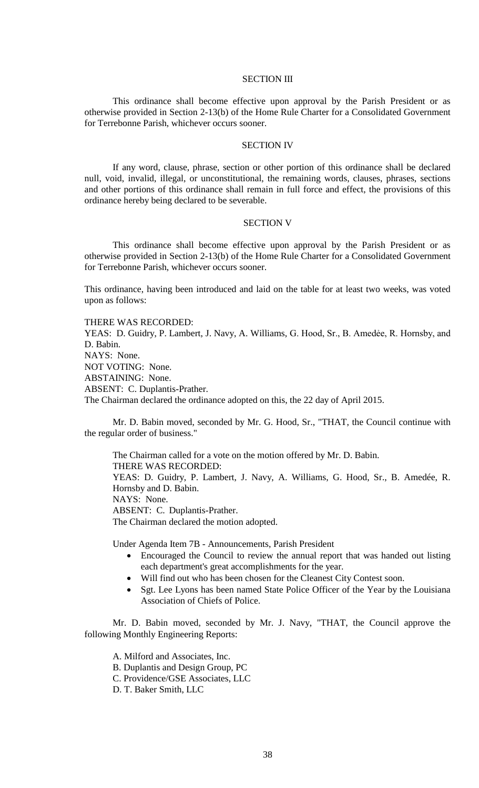### SECTION III

This ordinance shall become effective upon approval by the Parish President or as otherwise provided in Section 2-13(b) of the Home Rule Charter for a Consolidated Government for Terrebonne Parish, whichever occurs sooner.

## SECTION IV

If any word, clause, phrase, section or other portion of this ordinance shall be declared null, void, invalid, illegal, or unconstitutional, the remaining words, clauses, phrases, sections and other portions of this ordinance shall remain in full force and effect, the provisions of this ordinance hereby being declared to be severable.

### SECTION V

This ordinance shall become effective upon approval by the Parish President or as otherwise provided in Section 2-13(b) of the Home Rule Charter for a Consolidated Government for Terrebonne Parish, whichever occurs sooner.

This ordinance, having been introduced and laid on the table for at least two weeks, was voted upon as follows:

THERE WAS RECORDED: YEAS: D. Guidry, P. Lambert, J. Navy, A. Williams, G. Hood, Sr., B. Amedėe, R. Hornsby, and D. Babin. NAYS: None. NOT VOTING: None. ABSTAINING: None. ABSENT: C. Duplantis-Prather. The Chairman declared the ordinance adopted on this, the 22 day of April 2015.

Mr. D. Babin moved, seconded by Mr. G. Hood, Sr., "THAT, the Council continue with the regular order of business."

The Chairman called for a vote on the motion offered by Mr. D. Babin. THERE WAS RECORDED: YEAS: D. Guidry, P. Lambert, J. Navy, A. Williams, G. Hood, Sr., B. Amedée, R. Hornsby and D. Babin. NAYS: None. ABSENT: C. Duplantis-Prather. The Chairman declared the motion adopted.

Under Agenda Item 7B - Announcements, Parish President

- Encouraged the Council to review the annual report that was handed out listing each department's great accomplishments for the year.
- Will find out who has been chosen for the Cleanest City Contest soon.
- Sgt. Lee Lyons has been named State Police Officer of the Year by the Louisiana Association of Chiefs of Police.

Mr. D. Babin moved, seconded by Mr. J. Navy, "THAT, the Council approve the following Monthly Engineering Reports:

A. Milford and Associates, Inc.

- B. Duplantis and Design Group, PC
- C. Providence/GSE Associates, LLC
- D. T. Baker Smith, LLC